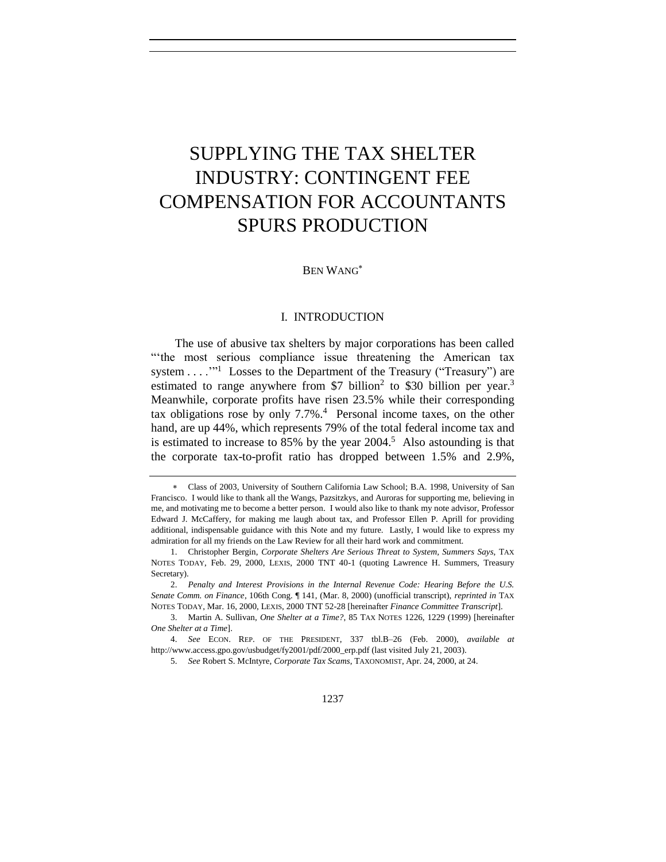# SUPPLYING THE TAX SHELTER INDUSTRY: CONTINGENT FEE COMPENSATION FOR ACCOUNTANTS SPURS PRODUCTION

<span id="page-0-2"></span>BEN WANG

# <span id="page-0-0"></span>I. INTRODUCTION

<span id="page-0-1"></span>The use of abusive tax shelters by major corporations has been called "the most serious compliance issue threatening the American tax system  $\dots$ <sup>"1</sup> Losses to the Department of the Treasury ("Treasury") are estimated to range anywhere from \$7 billion<sup>2</sup> to \$30 billion per year.<sup>3</sup> Meanwhile, corporate profits have risen 23.5% while their corresponding tax obligations rose by only 7.7%. 4 Personal income taxes, on the other hand, are up 44%, which represents 79% of the total federal income tax and is estimated to increase to 85% by the year  $2004$ <sup>5</sup>. Also astounding is that the corporate tax-to-profit ratio has dropped between 1.5% and 2.9%,

Class of 2003, University of Southern California Law School; B.A. 1998, University of San Francisco. I would like to thank all the Wangs, Pazsitzkys, and Auroras for supporting me, believing in me, and motivating me to become a better person. I would also like to thank my note advisor, Professor Edward J. McCaffery, for making me laugh about tax, and Professor Ellen P. Aprill for providing additional, indispensable guidance with this Note and my future. Lastly, I would like to express my admiration for all my friends on the Law Review for all their hard work and commitment.

<sup>1.</sup> Christopher Bergin, *Corporate Shelters Are Serious Threat to System, Summers Says*, TAX NOTES TODAY, Feb. 29, 2000, LEXIS, 2000 TNT 40-1 (quoting Lawrence H. Summers, Treasury Secretary).

<sup>2.</sup> *Penalty and Interest Provisions in the Internal Revenue Code: Hearing Before the U.S. Senate Comm. on Finance*, 106th Cong. ¶ 141, (Mar. 8, 2000) (unofficial transcript), *reprinted in* TAX NOTES TODAY, Mar. 16, 2000, LEXIS, 2000 TNT 52-28 [hereinafter *Finance Committee Transcript*].

<sup>3.</sup> Martin A. Sullivan, *One Shelter at a Time?*, 85 TAX NOTES 1226, 1229 (1999) [hereinafter *One Shelter at a Time*].

<sup>4.</sup> *See* ECON. REP. OF THE PRESIDENT, 337 tbl.B–26 (Feb. 2000), *available at* http://www.access.gpo.gov/usbudget/fy2001/pdf/2000\_erp.pdf (last visited July 21, 2003).

<sup>5.</sup> *See* Robert S. McIntyre, *Corporate Tax Scams*, TAXONOMIST, Apr. 24, 2000, at 24.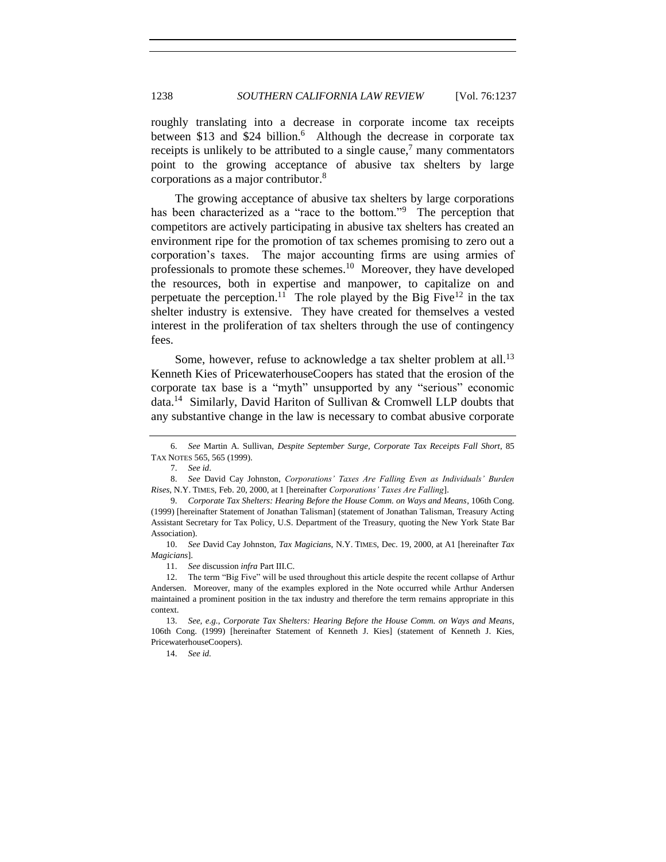roughly translating into a decrease in corporate income tax receipts between \$13 and \$24 billion.<sup>6</sup> Although the decrease in corporate tax receipts is unlikely to be attributed to a single cause,<sup>7</sup> many commentators point to the growing acceptance of abusive tax shelters by large corporations as a major contributor.<sup>8</sup>

<span id="page-1-3"></span><span id="page-1-2"></span><span id="page-1-0"></span>The growing acceptance of abusive tax shelters by large corporations has been characterized as a "race to the bottom."<sup>9</sup> The perception that competitors are actively participating in abusive tax shelters has created an environment ripe for the promotion of tax schemes promising to zero out a corporation's taxes. The major accounting firms are using armies of professionals to promote these schemes.<sup>10</sup> Moreover, they have developed the resources, both in expertise and manpower, to capitalize on and perpetuate the perception.<sup>11</sup> The role played by the Big Five<sup>12</sup> in the tax shelter industry is extensive. They have created for themselves a vested interest in the proliferation of tax shelters through the use of contingency fees.

<span id="page-1-1"></span>Some, however, refuse to acknowledge a tax shelter problem at all.<sup>13</sup> Kenneth Kies of PricewaterhouseCoopers has stated that the erosion of the corporate tax base is a "myth" unsupported by any "serious" economic data.<sup>14</sup> Similarly, David Hariton of Sullivan & Cromwell LLP doubts that any substantive change in the law is necessary to combat abusive corporate

11. *See* discussion *infra* Part III.C.

14. *See id.*

<sup>6.</sup> *See* Martin A. Sullivan, *Despite September Surge, Corporate Tax Receipts Fall Short*, 85 TAX NOTES 565, 565 (1999).

<sup>7.</sup> *See id*.

<sup>8.</sup> *See* David Cay Johnston, *Corporations' Taxes Are Falling Even as Individuals' Burden Rises*, N.Y. TIMES, Feb. 20, 2000, at 1 [hereinafter *Corporations' Taxes Are Falling*].

<sup>9.</sup> *Corporate Tax Shelters: Hearing Before the House Comm. on Ways and Means*, 106th Cong. (1999) [hereinafter Statement of Jonathan Talisman] (statement of Jonathan Talisman, Treasury Acting Assistant Secretary for Tax Policy, U.S. Department of the Treasury, quoting the New York State Bar Association).

<sup>10.</sup> *See* David Cay Johnston, *Tax Magicians*, N.Y. TIMES, Dec. 19, 2000, at A1 [hereinafter *Tax Magicians*].

<sup>12.</sup> The term "Big Five" will be used throughout this article despite the recent collapse of Arthur Andersen. Moreover, many of the examples explored in the Note occurred while Arthur Andersen maintained a prominent position in the tax industry and therefore the term remains appropriate in this context.

<sup>13.</sup> *See, e.g.*, *Corporate Tax Shelters: Hearing Before the House Comm. on Ways and Means*, 106th Cong. (1999) [hereinafter Statement of Kenneth J. Kies] (statement of Kenneth J. Kies, PricewaterhouseCoopers).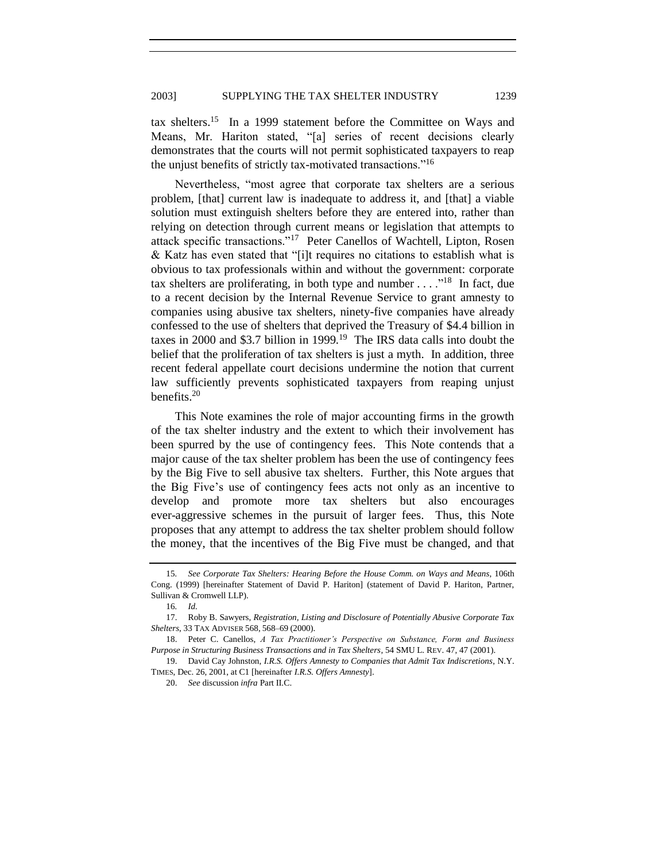tax shelters.<sup>15</sup> In a 1999 statement before the Committee on Ways and Means, Mr. Hariton stated, "[a] series of recent decisions clearly demonstrates that the courts will not permit sophisticated taxpayers to reap the unjust benefits of strictly tax-motivated transactions."<sup>16</sup>

Nevertheless, "most agree that corporate tax shelters are a serious problem, [that] current law is inadequate to address it, and [that] a viable solution must extinguish shelters before they are entered into, rather than relying on detection through current means or legislation that attempts to attack specific transactions."<sup>17</sup> Peter Canellos of Wachtell, Lipton, Rosen & Katz has even stated that "[i]t requires no citations to establish what is obvious to tax professionals within and without the government: corporate tax shelters are proliferating, in both type and number  $\dots$  .<sup>18</sup> In fact, due to a recent decision by the Internal Revenue Service to grant amnesty to companies using abusive tax shelters, ninety-five companies have already confessed to the use of shelters that deprived the Treasury of \$4.4 billion in taxes in 2000 and \$3.7 billion in 1999.<sup>19</sup> The IRS data calls into doubt the belief that the proliferation of tax shelters is just a myth. In addition, three recent federal appellate court decisions undermine the notion that current law sufficiently prevents sophisticated taxpayers from reaping unjust benefits. $20$ 

<span id="page-2-0"></span>This Note examines the role of major accounting firms in the growth of the tax shelter industry and the extent to which their involvement has been spurred by the use of contingency fees. This Note contends that a major cause of the tax shelter problem has been the use of contingency fees by the Big Five to sell abusive tax shelters. Further, this Note argues that the Big Five's use of contingency fees acts not only as an incentive to develop and promote more tax shelters but also encourages ever-aggressive schemes in the pursuit of larger fees. Thus, this Note proposes that any attempt to address the tax shelter problem should follow the money, that the incentives of the Big Five must be changed, and that

<span id="page-2-1"></span>

<sup>15</sup>*. See Corporate Tax Shelters: Hearing Before the House Comm. on Ways and Means*, 106th Cong. (1999) [hereinafter Statement of David P. Hariton] (statement of David P. Hariton, Partner, Sullivan & Cromwell LLP).

<sup>16</sup>*. Id.*

<sup>17.</sup> Roby B. Sawyers, *Registration, Listing and Disclosure of Potentially Abusive Corporate Tax Shelters*, 33 TAX ADVISER 568, 568–69 (2000).

<sup>18.</sup> Peter C. Canellos, *A Tax Practitioner's Perspective on Substance, Form and Business Purpose in Structuring Business Transactions and in Tax Shelters*, 54 SMU L. REV. 47, 47 (2001).

<sup>19.</sup> David Cay Johnston, *I.R.S. Offers Amnesty to Companies that Admit Tax Indiscretions*, N.Y. TIMES, Dec. 26, 2001, at C1 [hereinafter *I.R.S. Offers Amnesty*].

<sup>20.</sup> *See* discussion *infra* Part II.C.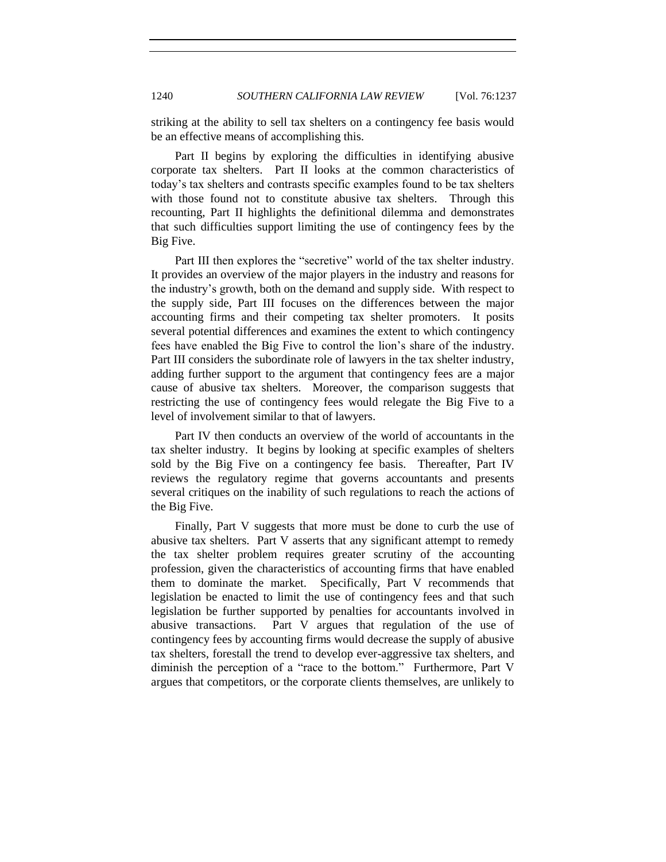striking at the ability to sell tax shelters on a contingency fee basis would be an effective means of accomplishing this.

Part II begins by exploring the difficulties in identifying abusive corporate tax shelters. Part II looks at the common characteristics of today's tax shelters and contrasts specific examples found to be tax shelters with those found not to constitute abusive tax shelters. Through this recounting, Part II highlights the definitional dilemma and demonstrates that such difficulties support limiting the use of contingency fees by the Big Five.

Part III then explores the "secretive" world of the tax shelter industry. It provides an overview of the major players in the industry and reasons for the industry's growth, both on the demand and supply side. With respect to the supply side, Part III focuses on the differences between the major accounting firms and their competing tax shelter promoters. It posits several potential differences and examines the extent to which contingency fees have enabled the Big Five to control the lion's share of the industry. Part III considers the subordinate role of lawyers in the tax shelter industry, adding further support to the argument that contingency fees are a major cause of abusive tax shelters. Moreover, the comparison suggests that restricting the use of contingency fees would relegate the Big Five to a level of involvement similar to that of lawyers.

Part IV then conducts an overview of the world of accountants in the tax shelter industry. It begins by looking at specific examples of shelters sold by the Big Five on a contingency fee basis. Thereafter, Part IV reviews the regulatory regime that governs accountants and presents several critiques on the inability of such regulations to reach the actions of the Big Five.

Finally, Part V suggests that more must be done to curb the use of abusive tax shelters. Part V asserts that any significant attempt to remedy the tax shelter problem requires greater scrutiny of the accounting profession, given the characteristics of accounting firms that have enabled them to dominate the market. Specifically, Part V recommends that legislation be enacted to limit the use of contingency fees and that such legislation be further supported by penalties for accountants involved in abusive transactions. Part V argues that regulation of the use of contingency fees by accounting firms would decrease the supply of abusive tax shelters, forestall the trend to develop ever-aggressive tax shelters, and diminish the perception of a "race to the bottom." Furthermore, Part V argues that competitors, or the corporate clients themselves, are unlikely to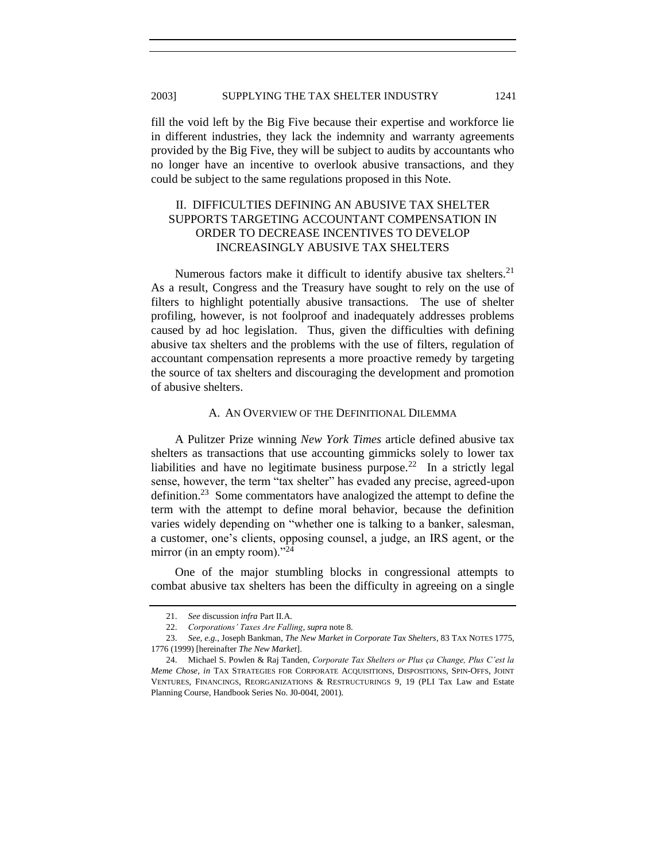### 2003] SUPPLYING THE TAX SHELTER INDUSTRY 1241

fill the void left by the Big Five because their expertise and workforce lie in different industries, they lack the indemnity and warranty agreements provided by the Big Five, they will be subject to audits by accountants who no longer have an incentive to overlook abusive transactions, and they could be subject to the same regulations proposed in this Note.

# II. DIFFICULTIES DEFINING AN ABUSIVE TAX SHELTER SUPPORTS TARGETING ACCOUNTANT COMPENSATION IN ORDER TO DECREASE INCENTIVES TO DEVELOP INCREASINGLY ABUSIVE TAX SHELTERS

Numerous factors make it difficult to identify abusive tax shelters.<sup>21</sup> As a result, Congress and the Treasury have sought to rely on the use of filters to highlight potentially abusive transactions. The use of shelter profiling, however, is not foolproof and inadequately addresses problems caused by ad hoc legislation. Thus, given the difficulties with defining abusive tax shelters and the problems with the use of filters, regulation of accountant compensation represents a more proactive remedy by targeting the source of tax shelters and discouraging the development and promotion of abusive shelters.

#### A. AN OVERVIEW OF THE DEFINITIONAL DILEMMA

<span id="page-4-1"></span>A Pulitzer Prize winning *New York Times* article defined abusive tax shelters as transactions that use accounting gimmicks solely to lower tax liabilities and have no legitimate business purpose.<sup>22</sup> In a strictly legal sense, however, the term "tax shelter" has evaded any precise, agreed-upon definition.<sup>23</sup> Some commentators have analogized the attempt to define the term with the attempt to define moral behavior, because the definition varies widely depending on "whether one is talking to a banker, salesman, a customer, one's clients, opposing counsel, a judge, an IRS agent, or the mirror (in an empty room). $^{24}$ 

<span id="page-4-0"></span>One of the major stumbling blocks in congressional attempts to combat abusive tax shelters has been the difficulty in agreeing on a single

<sup>21.</sup> *See* discussion *infra* Part II.A.

<sup>22.</sup> *Corporations' Taxes Are Falling*, *supra* not[e 8.](#page-1-0)

<sup>23.</sup> *See, e.g.*, Joseph Bankman, *The New Market in Corporate Tax Shelters*, 83 TAX NOTES 1775, 1776 (1999) [hereinafter *The New Market*].

<sup>24.</sup> Michael S. Powlen & Raj Tanden, *Corporate Tax Shelters or Plus ça Change, Plus C'est la Meme Chose*, *in* TAX STRATEGIES FOR CORPORATE ACQUISITIONS, DISPOSITIONS, SPIN-OFFS, JOINT VENTURES, FINANCINGS, REORGANIZATIONS & RESTRUCTURINGS 9, 19 (PLI Tax Law and Estate Planning Course, Handbook Series No. J0-004I, 2001).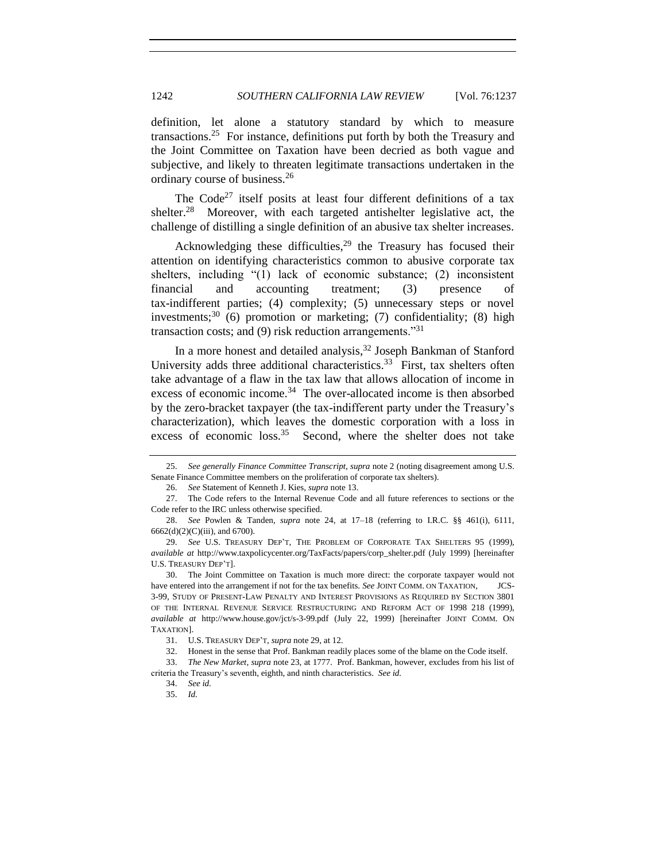definition, let alone a statutory standard by which to measure transactions.<sup>25</sup> For instance, definitions put forth by both the Treasury and the Joint Committee on Taxation have been decried as both vague and subjective, and likely to threaten legitimate transactions undertaken in the ordinary course of business.<sup>26</sup>

The  $Code<sup>27</sup>$  itself posits at least four different definitions of a tax shelter.<sup>28</sup> Moreover, with each targeted antishelter legislative act, the challenge of distilling a single definition of an abusive tax shelter increases.

<span id="page-5-0"></span>Acknowledging these difficulties,<sup>29</sup> the Treasury has focused their attention on identifying characteristics common to abusive corporate tax shelters, including  $(1)$  lack of economic substance; (2) inconsistent financial and accounting treatment; (3) presence of tax-indifferent parties; (4) complexity; (5) unnecessary steps or novel investments;<sup>30</sup> (6) promotion or marketing; (7) confidentiality; (8) high transaction costs; and  $(9)$  risk reduction arrangements.<sup>331</sup>

<span id="page-5-1"></span>In a more honest and detailed analysis,  $32$  Joseph Bankman of Stanford University adds three additional characteristics.<sup>33</sup> First, tax shelters often take advantage of a flaw in the tax law that allows allocation of income in excess of economic income.<sup>34</sup> The over-allocated income is then absorbed by the zero-bracket taxpayer (the tax-indifferent party under the Treasury's characterization), which leaves the domestic corporation with a loss in excess of economic loss.<sup>35</sup> Second, where the shelter does not take

<sup>25.</sup> *See generally Finance Committee Transcript, supra* not[e 2](#page-0-0) (noting disagreement among U.S. Senate Finance Committee members on the proliferation of corporate tax shelters).

<sup>26.</sup> *See* Statement of Kenneth J. Kies*, supra* not[e 13.](#page-1-1)

<sup>27.</sup> The Code refers to the Internal Revenue Code and all future references to sections or the Code refer to the IRC unless otherwise specified.

<sup>28.</sup> *See* Powlen & Tanden*, supra* note [24,](#page-4-0) at 17–18 (referring to I.R.C. §§ 461(i), 6111, 6662(d)(2)(C)(iii), and 6700).

<sup>29.</sup> *See* U.S. TREASURY DEP'T, THE PROBLEM OF CORPORATE TAX SHELTERS 95 (1999), *available at* http://www.taxpolicycenter.org/TaxFacts/papers/corp\_shelter.pdf (July 1999) [hereinafter U.S. TREASURY DEP'T].

<sup>30.</sup> The Joint Committee on Taxation is much more direct: the corporate taxpayer would not have entered into the arrangement if not for the tax benefits. *See* JOINT COMM. ON TAXATION, JCS-3-99, STUDY OF PRESENT-LAW PENALTY AND INTEREST PROVISIONS AS REQUIRED BY SECTION 3801 OF THE INTERNAL REVENUE SERVICE RESTRUCTURING AND REFORM ACT OF 1998 218 (1999), *available at* http://www.house.gov/jct/s-3-99.pdf (July 22, 1999) [hereinafter JOINT COMM. ON TAXATION].

<sup>31.</sup> U.S. TREASURY DEP'T, *supra* not[e 29,](#page-5-0) at 12.

<sup>32.</sup> Honest in the sense that Prof. Bankman readily places some of the blame on the Code itself.

<sup>33.</sup> *The New Market, supra* not[e 23,](#page-4-1) at 1777. Prof. Bankman, however, excludes from his list of criteria the Treasury's seventh, eighth, and ninth characteristics. *See id.*

<sup>34.</sup> *See id.*

<sup>35.</sup> *Id.*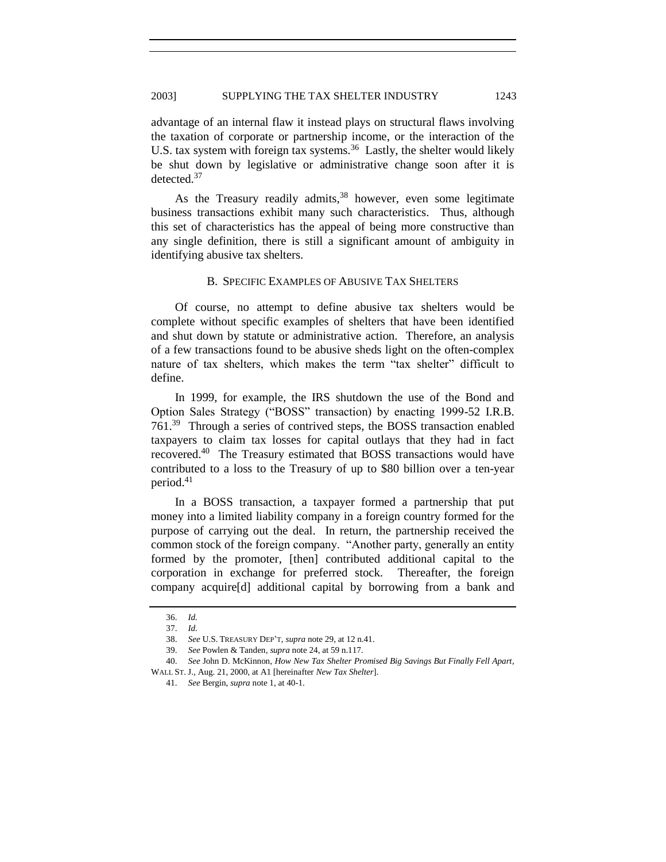advantage of an internal flaw it instead plays on structural flaws involving the taxation of corporate or partnership income, or the interaction of the U.S. tax system with foreign tax systems.<sup>36</sup> Lastly, the shelter would likely be shut down by legislative or administrative change soon after it is detected.<sup>37</sup>

As the Treasury readily admits,<sup>38</sup> however, even some legitimate business transactions exhibit many such characteristics. Thus, although this set of characteristics has the appeal of being more constructive than any single definition, there is still a significant amount of ambiguity in identifying abusive tax shelters.

## B. SPECIFIC EXAMPLES OF ABUSIVE TAX SHELTERS

Of course, no attempt to define abusive tax shelters would be complete without specific examples of shelters that have been identified and shut down by statute or administrative action. Therefore, an analysis of a few transactions found to be abusive sheds light on the often-complex nature of tax shelters, which makes the term "tax shelter" difficult to define.

In 1999, for example, the IRS shutdown the use of the Bond and Option Sales Strategy ("BOSS" transaction) by enacting 1999-52 I.R.B. 761.<sup>39</sup> Through a series of contrived steps, the BOSS transaction enabled taxpayers to claim tax losses for capital outlays that they had in fact recovered.<sup>40</sup> The Treasury estimated that BOSS transactions would have contributed to a loss to the Treasury of up to \$80 billion over a ten-year period.<sup>41</sup>

<span id="page-6-0"></span>In a BOSS transaction, a taxpayer formed a partnership that put money into a limited liability company in a foreign country formed for the purpose of carrying out the deal. In return, the partnership received the common stock of the foreign company. "Another party, generally an entity formed by the promoter, [then] contributed additional capital to the corporation in exchange for preferred stock. Thereafter, the foreign company acquire[d] additional capital by borrowing from a bank and

<sup>36.</sup> *Id.*

<sup>37.</sup> *Id.*

<sup>38.</sup> *See* U.S. TREASURY DEP'T, *supra* note [29,](#page-5-0) at 12 n.41.

<sup>39.</sup> *See* Powlen & Tanden*, supra* not[e 24,](#page-4-0) at 59 n.117.

<sup>40.</sup> *See* John D. McKinnon, *How New Tax Shelter Promised Big Savings But Finally Fell Apart*, WALL ST. J., Aug. 21, 2000, at A1 [hereinafter *New Tax Shelter*].

<sup>41.</sup> *See* Bergin, *supra* not[e 1,](#page-0-1) at 40-1.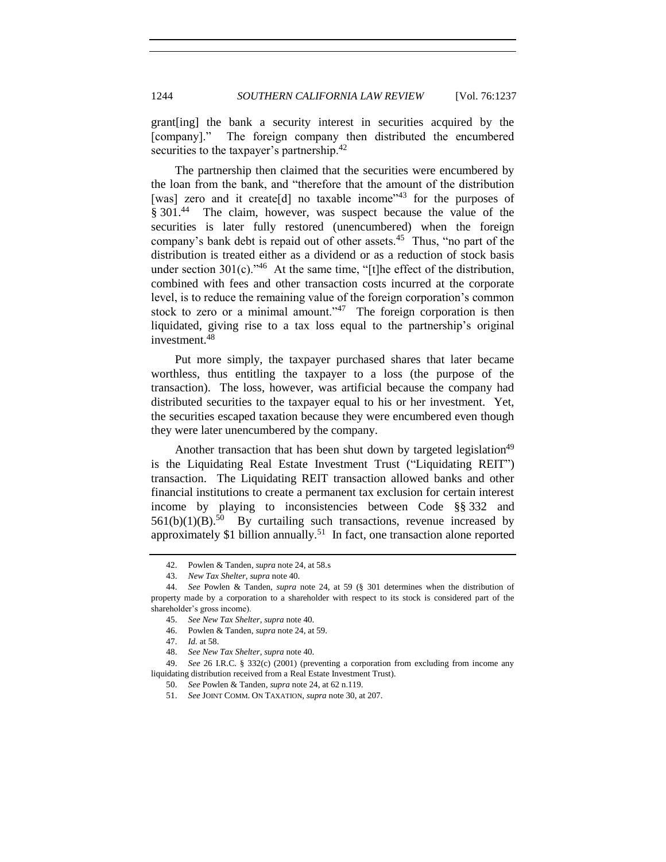grant[ing] the bank a security interest in securities acquired by the [company]." The foreign company then distributed the encumbered securities to the taxpayer's partnership.<sup>42</sup>

The partnership then claimed that the securities were encumbered by the loan from the bank, and "therefore that the amount of the distribution [was] zero and it create[d] no taxable income<sup> $3$ </sup> for the purposes of § 301.<sup>44</sup> The claim, however, was suspect because the value of the securities is later fully restored (unencumbered) when the foreign company's bank debt is repaid out of other assets.<sup>45</sup> Thus, "no part of the distribution is treated either as a dividend or as a reduction of stock basis under section  $301(c)$ ."<sup>46</sup> At the same time, "[t]he effect of the distribution, combined with fees and other transaction costs incurred at the corporate level, is to reduce the remaining value of the foreign corporation's common stock to zero or a minimal amount."<sup>47</sup> The foreign corporation is then liquidated, giving rise to a tax loss equal to the partnership's original investment.<sup>48</sup>

Put more simply, the taxpayer purchased shares that later became worthless, thus entitling the taxpayer to a loss (the purpose of the transaction). The loss, however, was artificial because the company had distributed securities to the taxpayer equal to his or her investment. Yet, the securities escaped taxation because they were encumbered even though they were later unencumbered by the company.

Another transaction that has been shut down by targeted legislation<sup>49</sup> is the Liquidating Real Estate Investment Trust ("Liquidating REIT") transaction. The Liquidating REIT transaction allowed banks and other financial institutions to create a permanent tax exclusion for certain interest income by playing to inconsistencies between Code §§ 332 and  $561(b)(1)(B)$ .<sup>50</sup> By curtailing such transactions, revenue increased by approximately \$1 billion annually.<sup>51</sup> In fact, one transaction alone reported

<sup>42.</sup> Powlen & Tanden*, supra* not[e 24,](#page-4-0) at 58.s

<sup>43.</sup> *New Tax Shelter*, *supra* not[e 40.](#page-6-0)

<sup>44.</sup> *See* Powlen & Tanden, *supra* note [24,](#page-4-0) at 59 (§ 301 determines when the distribution of property made by a corporation to a shareholder with respect to its stock is considered part of the shareholder's gross income).

<sup>45.</sup> *See New Tax Shelter*, *supra* not[e 40.](#page-6-0)

<sup>46.</sup> Powlen & Tanden, *supra* not[e 24,](#page-4-0) at 59.

<sup>47.</sup> *Id.* at 58.

<sup>48.</sup> *See New Tax Shelter*, *supra* not[e 40.](#page-6-0)

<sup>49.</sup> *See* 26 I.R.C. § 332(c) (2001) (preventing a corporation from excluding from income any liquidating distribution received from a Real Estate Investment Trust).

<sup>50.</sup> *See* Powlen & Tanden*, supra* not[e 24,](#page-4-0) at 62 n.119.

<sup>51.</sup> *See* JOINT COMM. ON TAXATION, *supra* not[e 30,](#page-5-1) at 207.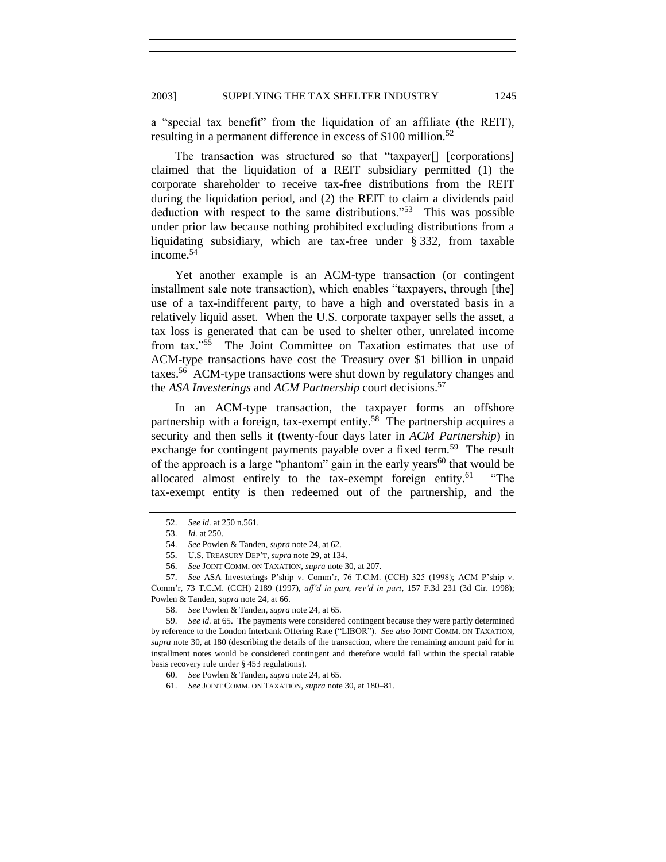a "special tax benefit" from the liquidation of an affiliate (the REIT), resulting in a permanent difference in excess of \$100 million.<sup>52</sup>

The transaction was structured so that "taxpayer[] [corporations] claimed that the liquidation of a REIT subsidiary permitted (1) the corporate shareholder to receive tax-free distributions from the REIT during the liquidation period, and (2) the REIT to claim a dividends paid deduction with respect to the same distributions.<sup> $353$ </sup> This was possible under prior law because nothing prohibited excluding distributions from a liquidating subsidiary, which are tax-free under § 332, from taxable income.<sup>54</sup>

Yet another example is an ACM-type transaction (or contingent installment sale note transaction), which enables "taxpayers, through [the] use of a tax-indifferent party, to have a high and overstated basis in a relatively liquid asset. When the U.S. corporate taxpayer sells the asset, a tax loss is generated that can be used to shelter other, unrelated income from tax."<sup>55</sup> The Joint Committee on Taxation estimates that use of ACM-type transactions have cost the Treasury over \$1 billion in unpaid taxes.<sup>56</sup> ACM-type transactions were shut down by regulatory changes and the *ASA Investerings* and *ACM Partnership* court decisions.<sup>57</sup>

In an ACM-type transaction, the taxpayer forms an offshore partnership with a foreign, tax-exempt entity.<sup>58</sup> The partnership acquires a security and then sells it (twenty-four days later in *ACM Partnership*) in exchange for contingent payments payable over a fixed term.<sup>59</sup> The result of the approach is a large "phantom" gain in the early years<sup>60</sup> that would be allocated almost entirely to the tax-exempt foreign entity.<sup>61</sup> ―The tax-exempt entity is then redeemed out of the partnership, and the

<sup>52.</sup> *See id.* at 250 n.561.

<sup>53.</sup> *Id.* at 250.

<sup>54.</sup> *See* Powlen & Tanden, *supra* not[e 24,](#page-4-0) at 62.

<sup>55.</sup> U.S. TREASURY DEP'T, *supra* not[e 29,](#page-5-0) at 134.

<sup>56.</sup> *See* JOINT COMM. ON TAXATION, *supra* not[e 30,](#page-5-1) at 207.

<sup>57.</sup> *See* ASA Investerings P'ship v. Comm'r, 76 T.C.M. (CCH) 325 (1998); ACM P'ship v. Comm'r, 73 T.C.M. (CCH) 2189 (1997), *aff'd in part, rev'd in part*, 157 F.3d 231 (3d Cir. 1998); Powlen & Tanden, *supra* not[e 24,](#page-4-0) at 66.

<sup>58.</sup> *See* Powlen & Tanden*, supra* not[e 24,](#page-4-0) at 65.

<sup>59.</sup> *See id.* at 65. The payments were considered contingent because they were partly determined by reference to the London Interbank Offering Rate ("LIBOR"). See also JOINT COMM. ON TAXATION, *supra* note 30, at 180 (describing the details of the transaction, where the remaining amount paid for in installment notes would be considered contingent and therefore would fall within the special ratable basis recovery rule under § 453 regulations).

<sup>60.</sup> *See* Powlen & Tanden*, supra* not[e 24,](#page-4-0) at 65.

<sup>61.</sup> *See* JOINT COMM. ON TAXATION, *supra* note [30,](#page-5-1) at 180–81*.*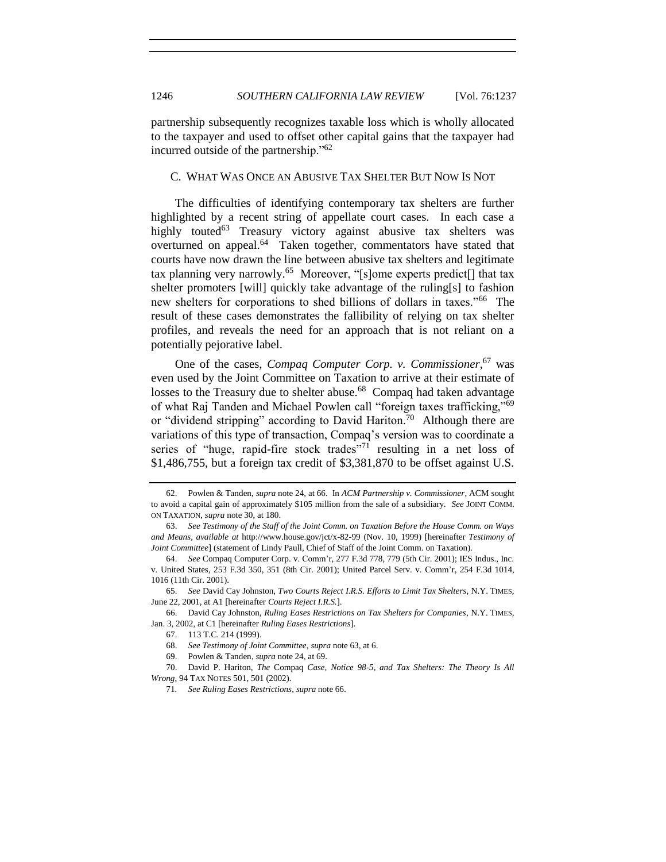partnership subsequently recognizes taxable loss which is wholly allocated to the taxpayer and used to offset other capital gains that the taxpayer had incurred outside of the partnership. $162$ 

## <span id="page-9-3"></span><span id="page-9-1"></span><span id="page-9-0"></span>C. WHAT WAS ONCE AN ABUSIVE TAX SHELTER BUT NOW IS NOT

The difficulties of identifying contemporary tax shelters are further highlighted by a recent string of appellate court cases. In each case a highly touted<sup>63</sup> Treasury victory against abusive tax shelters was overturned on appeal.<sup>64</sup> Taken together, commentators have stated that courts have now drawn the line between abusive tax shelters and legitimate tax planning very narrowly.<sup>65</sup> Moreover, "[s]ome experts predict[] that tax shelter promoters [will] quickly take advantage of the ruling[s] to fashion new shelters for corporations to shed billions of dollars in taxes."<sup>66</sup> The result of these cases demonstrates the fallibility of relying on tax shelter profiles, and reveals the need for an approach that is not reliant on a potentially pejorative label.

<span id="page-9-2"></span>One of the cases, *Compaq Computer Corp. v. Commissioner*, <sup>67</sup> was even used by the Joint Committee on Taxation to arrive at their estimate of losses to the Treasury due to shelter abuse.<sup>68</sup> Compaq had taken advantage of what Raj Tanden and Michael Powlen call "foreign taxes trafficking,"<sup>69</sup> or "dividend stripping" according to David Hariton.<sup>70</sup> Although there are variations of this type of transaction, Compaq's version was to coordinate a series of "huge, rapid-fire stock trades"<sup>71</sup> resulting in a net loss of \$1,486,755, but a foreign tax credit of \$3,381,870 to be offset against U.S.

<sup>62.</sup> Powlen & Tanden, *supra* not[e 24,](#page-4-0) at 66. In *ACM Partnership v. Commissioner*, ACM sought to avoid a capital gain of approximately \$105 million from the sale of a subsidiary. *See JOINT COMM*. ON TAXATION, *supra* not[e 30,](#page-5-1) at 180.

<sup>63.</sup> *See Testimony of the Staff of the Joint Comm. on Taxation Before the House Comm. on Ways and Means*, *available at* http://www.house.gov/jct/x-82-99 (Nov. 10, 1999) [hereinafter *Testimony of Joint Committee*] (statement of Lindy Paull, Chief of Staff of the Joint Comm. on Taxation).

<sup>64.</sup> *See* Compaq Computer Corp. v. Comm'r, 277 F.3d 778, 779 (5th Cir. 2001); IES Indus., Inc. v. United States, 253 F.3d 350, 351 (8th Cir. 2001); United Parcel Serv. v. Comm'r, 254 F.3d 1014, 1016 (11th Cir. 2001).

<sup>65.</sup> *See* David Cay Johnston, *Two Courts Reject I.R.S. Efforts to Limit Tax Shelters*, N.Y. TIMES, June 22, 2001, at A1 [hereinafter *Courts Reject I.R.S.*].

<sup>66.</sup> David Cay Johnston, *Ruling Eases Restrictions on Tax Shelters for Companies*, N.Y. TIMES, Jan. 3, 2002, at C1 [hereinafter *Ruling Eases Restrictions*].

<sup>67.</sup> 113 T.C. 214 (1999).

<sup>68.</sup> *See Testimony of Joint Committee*, *supra* note [63,](#page-9-0) at 6.

<sup>69.</sup> Powlen & Tanden, *supra* not[e 24,](#page-4-0) at 69.

<sup>70.</sup> David P. Hariton, *The* Compaq *Case, Notice 98-5, and Tax Shelters: The Theory Is All Wrong*, 94 TAX NOTES 501, 501 (2002).

<sup>71</sup>*. See Ruling Eases Restrictions*, *supra* not[e 66.](#page-9-1)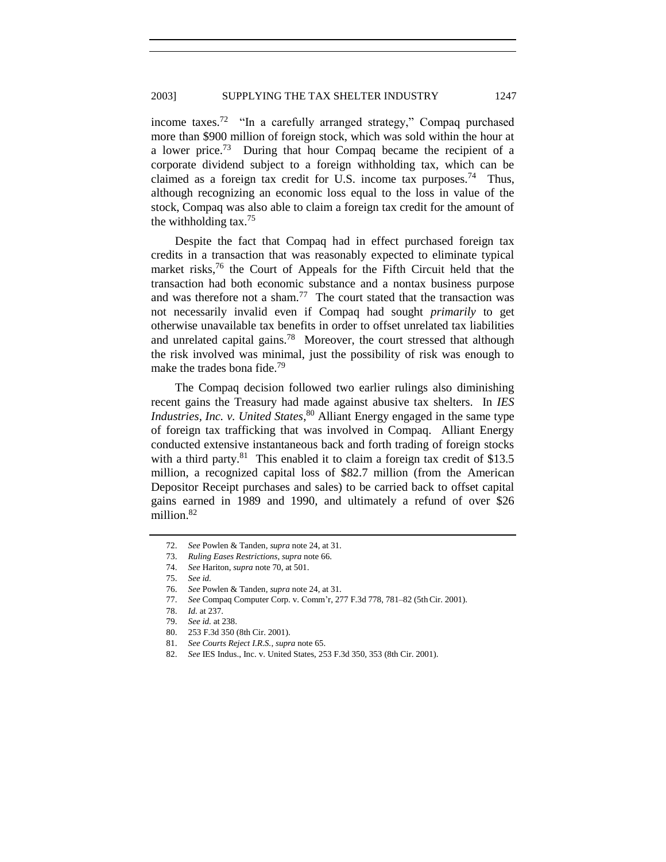income taxes.<sup>72</sup> "In a carefully arranged strategy," Compaq purchased more than \$900 million of foreign stock, which was sold within the hour at a lower price.<sup>73</sup> During that hour Compaq became the recipient of a corporate dividend subject to a foreign withholding tax, which can be claimed as a foreign tax credit for U.S. income tax purposes.<sup>74</sup> Thus, although recognizing an economic loss equal to the loss in value of the stock, Compaq was also able to claim a foreign tax credit for the amount of the withholding tax.<sup>75</sup>

Despite the fact that Compaq had in effect purchased foreign tax credits in a transaction that was reasonably expected to eliminate typical market risks,<sup>76</sup> the Court of Appeals for the Fifth Circuit held that the transaction had both economic substance and a nontax business purpose and was therefore not a sham.<sup>77</sup> The court stated that the transaction was not necessarily invalid even if Compaq had sought *primarily* to get otherwise unavailable tax benefits in order to offset unrelated tax liabilities and unrelated capital gains.<sup>78</sup> Moreover, the court stressed that although the risk involved was minimal, just the possibility of risk was enough to make the trades bona fide.<sup>79</sup>

The Compaq decision followed two earlier rulings also diminishing recent gains the Treasury had made against abusive tax shelters. In *IES Industries, Inc. v. United States*, <sup>80</sup> Alliant Energy engaged in the same type of foreign tax trafficking that was involved in Compaq. Alliant Energy conducted extensive instantaneous back and forth trading of foreign stocks with a third party.<sup>81</sup> This enabled it to claim a foreign tax credit of \$13.5 million, a recognized capital loss of \$82.7 million (from the American Depositor Receipt purchases and sales) to be carried back to offset capital gains earned in 1989 and 1990, and ultimately a refund of over \$26 million.<sup>82</sup>

<sup>72.</sup> *See* Powlen & Tanden, *supra* not[e 24,](#page-4-0) at 31.

<sup>73.</sup> *Ruling Eases Restrictions*, *supra* not[e 66.](#page-9-1)

<sup>74.</sup> *See* Hariton, *supra* not[e 70,](#page-9-2) at 501.

<sup>75.</sup> *See id.*

<sup>76.</sup> *See* Powlen & Tanden*, supra* not[e 24,](#page-4-0) at 31.

<sup>77.</sup> *See* Compaq Computer Corp. v. Comm'r, 277 F.3d 778, 781–82 (5thCir. 2001).

<sup>78.</sup> *Id.* at 237.

<sup>79.</sup> *See id.* at 238.

<sup>80.</sup> 253 F.3d 350 (8th Cir. 2001).

<sup>81.</sup> *See Courts Reject I.R.S.*, *supra* not[e 65.](#page-9-3)

<sup>82.</sup> *See* IES Indus., Inc. v. United States, 253 F.3d 350, 353 (8th Cir. 2001).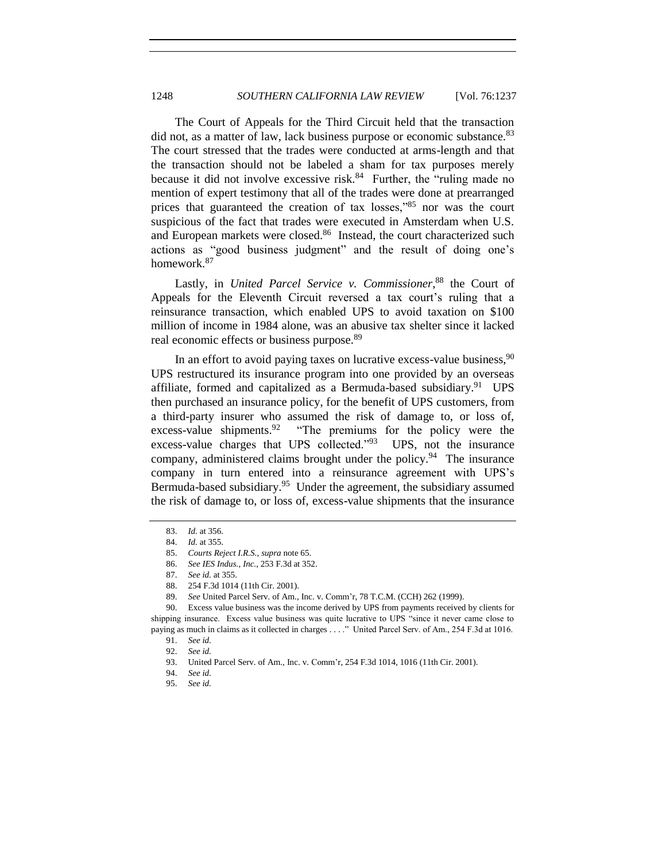The Court of Appeals for the Third Circuit held that the transaction did not, as a matter of law, lack business purpose or economic substance.<sup>83</sup> The court stressed that the trades were conducted at arms-length and that the transaction should not be labeled a sham for tax purposes merely because it did not involve excessive risk.<sup>84</sup> Further, the "ruling made no mention of expert testimony that all of the trades were done at prearranged prices that guaranteed the creation of tax losses," $85$  nor was the court suspicious of the fact that trades were executed in Amsterdam when U.S. and European markets were closed.<sup>86</sup> Instead, the court characterized such actions as "good business judgment" and the result of doing one's homework.<sup>87</sup>

Lastly, in *United Parcel Service v. Commissioner*, <sup>88</sup> the Court of Appeals for the Eleventh Circuit reversed a tax court's ruling that a reinsurance transaction, which enabled UPS to avoid taxation on \$100 million of income in 1984 alone, was an abusive tax shelter since it lacked real economic effects or business purpose.<sup>89</sup>

In an effort to avoid paying taxes on lucrative excess-value business,  $90$ UPS restructured its insurance program into one provided by an overseas affiliate, formed and capitalized as a Bermuda-based subsidiary.<sup>91</sup> UPS then purchased an insurance policy, for the benefit of UPS customers, from a third-party insurer who assumed the risk of damage to, or loss of, excess-value shipments. <sup>92</sup> "The premiums for the policy were the excess-value charges that UPS collected. $^{93}$  UPS, not the insurance company, administered claims brought under the policy.<sup>94</sup> The insurance company in turn entered into a reinsurance agreement with UPS's Bermuda-based subsidiary.<sup>95</sup> Under the agreement, the subsidiary assumed the risk of damage to, or loss of, excess-value shipments that the insurance

<sup>83.</sup> *Id.* at 356.

<sup>84.</sup> *Id.* at 355.

<sup>85.</sup> *Courts Reject I.R.S.*, *supra* not[e 65.](#page-9-3)

<sup>86.</sup> *See IES Indus., Inc.*, 253 F.3d at 352.

<sup>87.</sup> *See id.* at 355.

<sup>88.</sup> 254 F.3d 1014 (11th Cir. 2001).

<sup>89.</sup> *See* United Parcel Serv. of Am., Inc. v. Comm'r, 78 T.C.M. (CCH) 262 (1999).

<sup>90.</sup> Excess value business was the income derived by UPS from payments received by clients for shipping insurance. Excess value business was quite lucrative to UPS "since it never came close to paying as much in claims as it collected in charges . . . ." United Parcel Serv. of Am., 254 F.3d at 1016.

<sup>91.</sup> *See id.*

<sup>92.</sup> *See id.*

<sup>93.</sup> United Parcel Serv. of Am., Inc. v. Comm'r, 254 F.3d 1014, 1016 (11th Cir. 2001).

<sup>94.</sup> *See id.*

<sup>95.</sup> *See id.*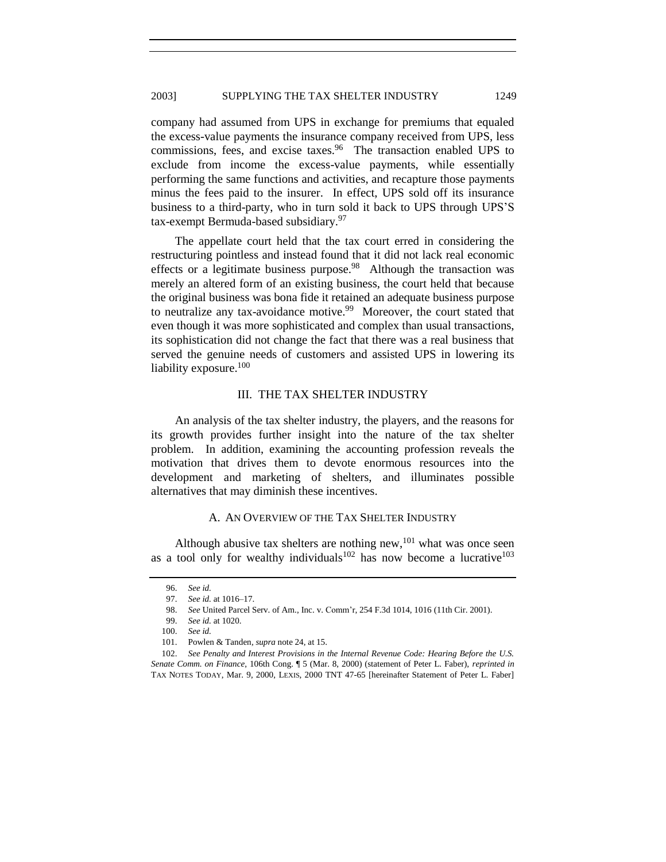## 2003] SUPPLYING THE TAX SHELTER INDUSTRY 1249

company had assumed from UPS in exchange for premiums that equaled the excess-value payments the insurance company received from UPS, less commissions, fees, and excise taxes.<sup>96</sup> The transaction enabled UPS to exclude from income the excess-value payments, while essentially performing the same functions and activities, and recapture those payments minus the fees paid to the insurer. In effect, UPS sold off its insurance business to a third-party, who in turn sold it back to UPS through UPS'S tax-exempt Bermuda-based subsidiary.<sup>97</sup>

The appellate court held that the tax court erred in considering the restructuring pointless and instead found that it did not lack real economic effects or a legitimate business purpose.<sup>98</sup> Although the transaction was merely an altered form of an existing business, the court held that because the original business was bona fide it retained an adequate business purpose to neutralize any tax-avoidance motive.<sup>99</sup> Moreover, the court stated that even though it was more sophisticated and complex than usual transactions, its sophistication did not change the fact that there was a real business that served the genuine needs of customers and assisted UPS in lowering its liability exposure. $100$ 

# III. THE TAX SHELTER INDUSTRY

An analysis of the tax shelter industry, the players, and the reasons for its growth provides further insight into the nature of the tax shelter problem. In addition, examining the accounting profession reveals the motivation that drives them to devote enormous resources into the development and marketing of shelters, and illuminates possible alternatives that may diminish these incentives.

#### <span id="page-12-0"></span>A. AN OVERVIEW OF THE TAX SHELTER INDUSTRY

Although abusive tax shelters are nothing new,  $^{101}$  what was once seen as a tool only for wealthy individuals<sup>102</sup> has now become a lucrative<sup>103</sup>

<sup>96.</sup> *See id.*

<sup>97.</sup> *See id.* at 1016–17.

<sup>98.</sup> *See* United Parcel Serv. of Am., Inc. v. Comm'r, 254 F.3d 1014, 1016 (11th Cir. 2001).

<sup>99.</sup> *See id.* at 1020.

<sup>100.</sup> *See id.*

<sup>101.</sup> Powlen & Tanden*, supra* not[e 24,](#page-4-0) at 15.

<sup>102.</sup> *See Penalty and Interest Provisions in the Internal Revenue Code: Hearing Before the U.S. Senate Comm. on Finance*, 106th Cong. ¶ 5 (Mar. 8, 2000) (statement of Peter L. Faber), *reprinted in* TAX NOTES TODAY, Mar. 9, 2000, LEXIS, 2000 TNT 47-65 [hereinafter Statement of Peter L. Faber]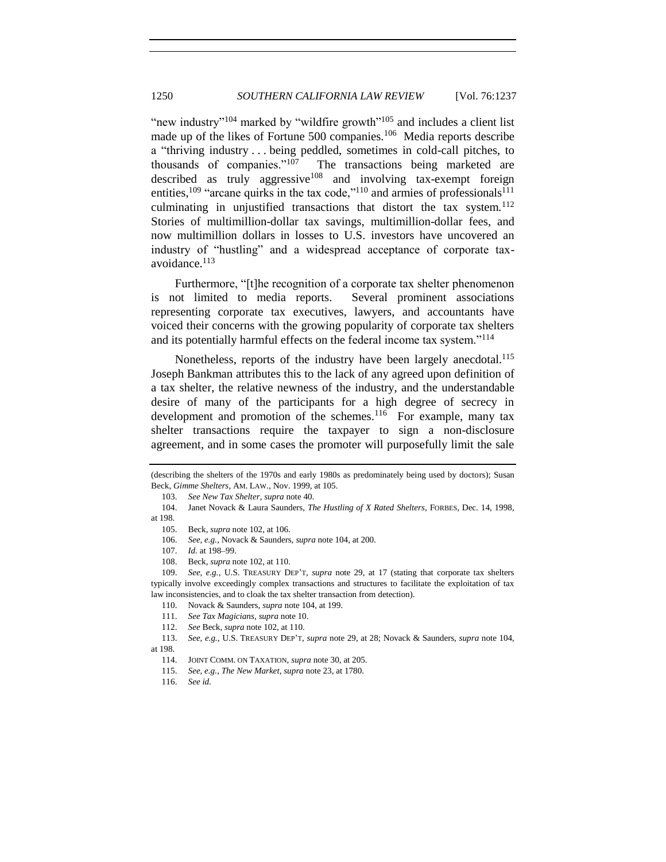<span id="page-13-0"></span>"new industry"<sup>104</sup> marked by "wildfire growth"<sup>105</sup> and includes a client list made up of the likes of Fortune 500 companies.<sup>106</sup> Media reports describe a "thriving industry . . . being peddled, sometimes in cold-call pitches, to thousands of companies." $107$  The transactions being marketed are described as truly aggressive<sup>108</sup> and involving tax-exempt foreign entities,<sup>109</sup> "arcane quirks in the tax code,"<sup>110</sup> and armies of professionals<sup>111</sup> culminating in unjustified transactions that distort the tax system.<sup>112</sup> Stories of multimillion-dollar tax savings, multimillion-dollar fees, and now multimillion dollars in losses to U.S. investors have uncovered an industry of "hustling" and a widespread acceptance of corporate taxavoidance.<sup>113</sup>

Furthermore, "[t]he recognition of a corporate tax shelter phenomenon is not limited to media reports. Several prominent associations representing corporate tax executives, lawyers, and accountants have voiced their concerns with the growing popularity of corporate tax shelters and its potentially harmful effects on the federal income tax system."<sup>114</sup>

Nonetheless, reports of the industry have been largely anecdotal.<sup>115</sup> Joseph Bankman attributes this to the lack of any agreed upon definition of a tax shelter, the relative newness of the industry, and the understandable desire of many of the participants for a high degree of secrecy in development and promotion of the schemes. $116$  For example, many tax shelter transactions require the taxpayer to sign a non-disclosure agreement, and in some cases the promoter will purposefully limit the sale

<sup>(</sup>describing the shelters of the 1970s and early 1980s as predominately being used by doctors); Susan Beck, *Gimme Shelters*, AM. LAW., Nov. 1999, at 105.

<sup>103.</sup> *See New Tax Shelter*, *supra* not[e 40.](#page-6-0)

<sup>104.</sup> Janet Novack & Laura Saunders, *The Hustling of X Rated Shelters*, FORBES, Dec. 14, 1998, at 198.

<sup>105.</sup> Beck, *supra* not[e 102,](#page-12-0) at 106.

<sup>106.</sup> *See, e.g.*, Novack & Saunders, *supra* not[e 104,](#page-13-0) at 200.

<sup>107.</sup> *Id.* at 198–99.

<sup>108.</sup> Beck, *supra* not[e 102,](#page-12-0) at 110.

<sup>109.</sup> *See, e.g.*, U.S. TREASURY DEP'T, *supra* note [29,](#page-5-0) at 17 (stating that corporate tax shelters typically involve exceedingly complex transactions and structures to facilitate the exploitation of tax law inconsistencies, and to cloak the tax shelter transaction from detection).

<sup>110.</sup> Novack & Saunders, *supra* not[e 104,](#page-13-0) at 199.

<sup>111.</sup> *See Tax Magicians*, *supra* note [10.](#page-1-2)

<sup>112.</sup> *See* Beck, *supra* not[e 102,](#page-12-0) at 110.

<sup>113.</sup> *See, e.g.*, U.S. TREASURY DEP'T, *supra* not[e 29,](#page-5-0) at 28; Novack & Saunders, *supra* note 104, at 198.

<sup>114.</sup> JOINT COMM. ON TAXATION, *supra* note [30,](#page-5-1) at 205.

<sup>115.</sup> *See, e.g.*, *The New Market*, *supra* not[e 23,](#page-4-1) at 1780.

<sup>116.</sup> *See id.*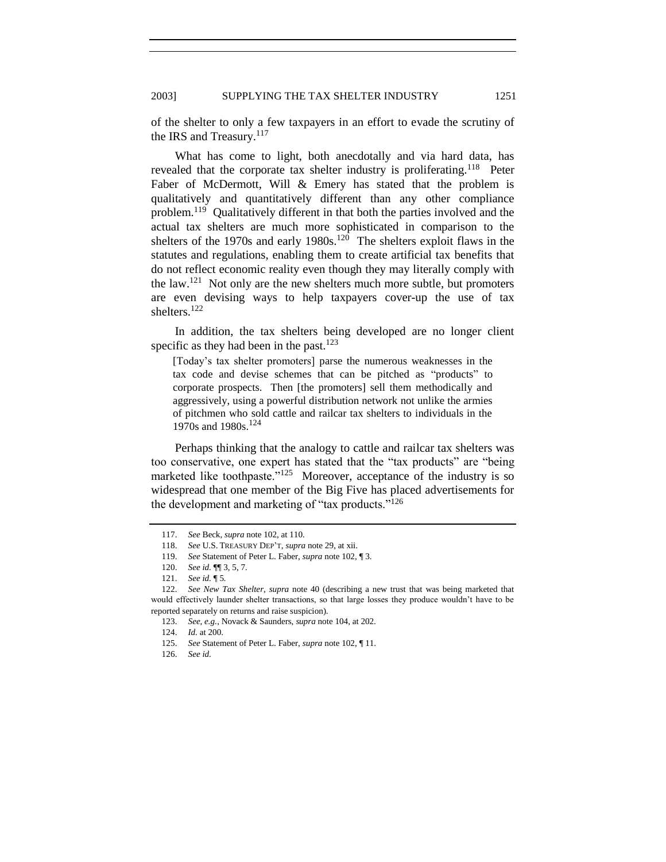of the shelter to only a few taxpayers in an effort to evade the scrutiny of the IRS and Treasury.<sup>117</sup>

What has come to light, both anecdotally and via hard data, has revealed that the corporate tax shelter industry is proliferating.<sup>118</sup> Peter Faber of McDermott, Will & Emery has stated that the problem is qualitatively and quantitatively different than any other compliance problem.<sup>119</sup> Qualitatively different in that both the parties involved and the actual tax shelters are much more sophisticated in comparison to the shelters of the 1970s and early  $1980s$ <sup>120</sup> The shelters exploit flaws in the statutes and regulations, enabling them to create artificial tax benefits that do not reflect economic reality even though they may literally comply with the  $law.<sup>121</sup>$  Not only are the new shelters much more subtle, but promoters are even devising ways to help taxpayers cover-up the use of tax shelters.<sup>122</sup>

In addition, the tax shelters being developed are no longer client specific as they had been in the past. $123$ 

[Today's tax shelter promoters] parse the numerous weaknesses in the tax code and devise schemes that can be pitched as "products" to corporate prospects. Then [the promoters] sell them methodically and aggressively, using a powerful distribution network not unlike the armies of pitchmen who sold cattle and railcar tax shelters to individuals in the 1970s and 1980s.<sup>124</sup>

Perhaps thinking that the analogy to cattle and railcar tax shelters was too conservative, one expert has stated that the "tax products" are "being marketed like toothpaste." $125$  Moreover, acceptance of the industry is so widespread that one member of the Big Five has placed advertisements for the development and marketing of "tax products." $126$ 

<sup>117.</sup> *See* Beck, *supra* not[e 102,](#page-12-0) at 110.

<sup>118.</sup> *See* U.S. TREASURY DEP'T, *supra* note [29,](#page-5-0) at xii.

<sup>119.</sup> *See* Statement of Peter L. Faber, *supra* not[e 102,](#page-12-0) ¶ 3.

<sup>120.</sup> *See id.* ¶¶ 3, 5, 7*.*

<sup>121.</sup> *See id.* ¶ 5*.*

<sup>122.</sup> *See New Tax Shelter*, *supra* note [40](#page-6-0) (describing a new trust that was being marketed that would effectively launder shelter transactions, so that large losses they produce wouldn't have to be reported separately on returns and raise suspicion).

<sup>123.</sup> *See, e.g.*, Novack & Saunders, *supra* not[e 104,](#page-13-0) at 202.

<sup>124.</sup> *Id.* at 200.

<sup>125.</sup> *See* Statement of Peter L. Faber, *supra* not[e 102,](#page-12-0) ¶ 11.

<sup>126.</sup> *See id.*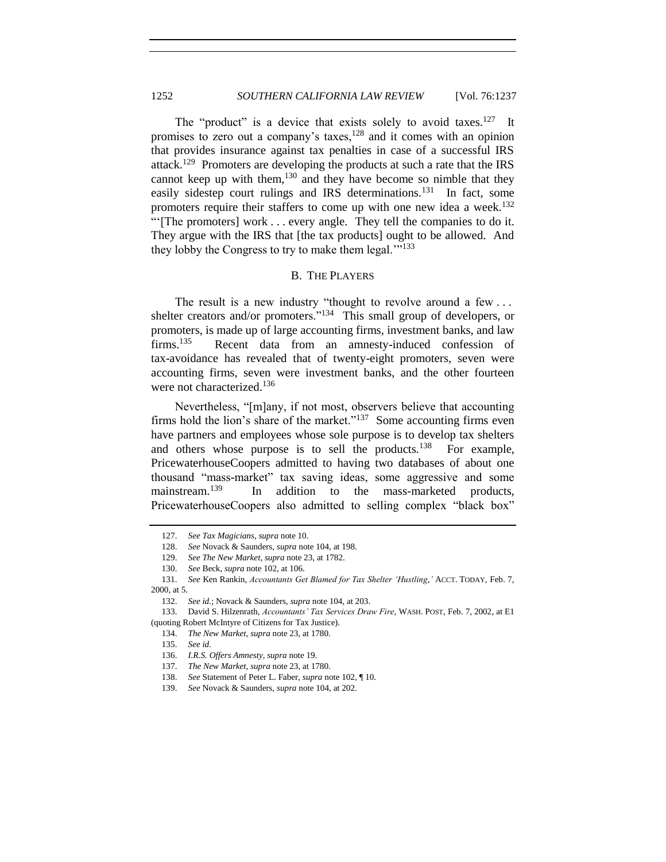The "product" is a device that exists solely to avoid taxes.<sup>127</sup> It promises to zero out a company's taxes,  $128$  and it comes with an opinion that provides insurance against tax penalties in case of a successful IRS attack.<sup>129</sup> Promoters are developing the products at such a rate that the IRS cannot keep up with them,  $130$  and they have become so nimble that they easily sidestep court rulings and IRS determinations.<sup>131</sup> In fact, some promoters require their staffers to come up with one new idea a week.<sup>132</sup> ―‗[The promoters] work . . . every angle. They tell the companies to do it. They argue with the IRS that [the tax products] ought to be allowed. And they lobby the Congress to try to make them legal."<sup>133</sup>

#### <span id="page-15-0"></span>B. THE PLAYERS

The result is a new industry "thought to revolve around a few  $\dots$ shelter creators and/or promoters."<sup>134</sup> This small group of developers, or promoters, is made up of large accounting firms, investment banks, and law  $firms.<sup>135</sup>$  Recent data from an amnesty-induced confession of tax-avoidance has revealed that of twenty-eight promoters, seven were accounting firms, seven were investment banks, and the other fourteen were not characterized.<sup>136</sup>

Nevertheless, "[m]any, if not most, observers believe that accounting firms hold the lion's share of the market." $137$  Some accounting firms even have partners and employees whose sole purpose is to develop tax shelters and others whose purpose is to sell the products. $138$  For example, PricewaterhouseCoopers admitted to having two databases of about one thousand "mass-market" tax saving ideas, some aggressive and some mainstream.<sup>139</sup> In addition to the mass-marketed products, PricewaterhouseCoopers also admitted to selling complex "black box"

<sup>127.</sup> *See Tax Magicians*, *supra* note [10.](#page-1-2)

See Novack & Saunders, *supra* not[e 104,](#page-13-0) at 198.

<sup>129.</sup> *See The New Market*, *supra* not[e 23,](#page-4-1) at 1782.

<sup>130.</sup> *See* Beck, *supra* not[e 102,](#page-12-0) at 106.

<sup>131.</sup> *See* Ken Rankin, *Accountants Get Blamed for Tax Shelter 'Hustling*,*'* ACCT. TODAY, Feb. 7, 2000, at 5.

<sup>132.</sup> *See id.*; Novack & Saunders, *supra* note [104,](#page-13-0) at 203.

<sup>133.</sup> David S. Hilzenrath, *Accountants' Tax Services Draw Fire*, WASH. POST, Feb. 7, 2002, at E1 (quoting Robert McIntyre of Citizens for Tax Justice).

<sup>134.</sup> *The New Market*, *supra* not[e 23,](#page-4-1) at 1780.

<sup>135.</sup> *See id.*

<sup>136.</sup> *I.R.S. Offers Amnesty*, *supra* not[e 19.](#page-2-0)

<sup>137.</sup> *The New Market*, *supra* not[e 23,](#page-4-1) at 1780.

<sup>138.</sup> *See* Statement of Peter L. Faber, *supra* not[e 102,](#page-12-0) ¶ 10.

<sup>139.</sup> *See* Novack & Saunders, *supra* not[e 104,](#page-13-0) at 202.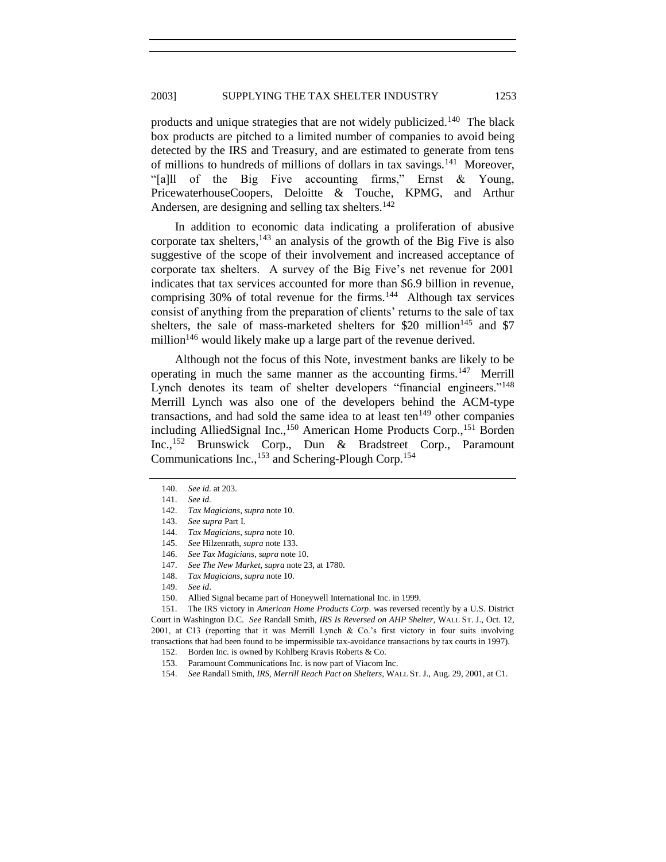<span id="page-16-0"></span>products and unique strategies that are not widely publicized.<sup>140</sup> The black box products are pitched to a limited number of companies to avoid being detected by the IRS and Treasury, and are estimated to generate from tens of millions to hundreds of millions of dollars in tax savings.<sup>141</sup> Moreover, "[a]ll of the Big Five accounting firms," Ernst  $\&$  Young, PricewaterhouseCoopers, Deloitte & Touche, KPMG, and Arthur Andersen, are designing and selling tax shelters.<sup>142</sup>

In addition to economic data indicating a proliferation of abusive corporate tax shelters,  $143$  an analysis of the growth of the Big Five is also suggestive of the scope of their involvement and increased acceptance of corporate tax shelters. A survey of the Big Five's net revenue for 2001 indicates that tax services accounted for more than \$6.9 billion in revenue, comprising 30% of total revenue for the firms.<sup>144</sup> Although tax services consist of anything from the preparation of clients' returns to the sale of tax shelters, the sale of mass-marketed shelters for  $$20$  million<sup>145</sup> and  $$7$ million<sup>146</sup> would likely make up a large part of the revenue derived.

Although not the focus of this Note, investment banks are likely to be operating in much the same manner as the accounting firms.<sup>147</sup> Merrill Lynch denotes its team of shelter developers "financial engineers."<sup>148</sup> Merrill Lynch was also one of the developers behind the ACM-type transactions, and had sold the same idea to at least ten<sup>149</sup> other companies including AlliedSignal Inc.,<sup>150</sup> American Home Products Corp.,<sup>151</sup> Borden Inc.,<sup>152</sup> Brunswick Corp., Dun & Bradstreet Corp., Paramount Communications Inc.,<sup>153</sup> and Schering-Plough Corp.<sup>154</sup>

151. The IRS victory in *American Home Products Corp*. was reversed recently by a U.S. District Court in Washington D.C. *See* Randall Smith, *IRS Is Reversed on AHP Shelter*, WALL ST. J., Oct. 12, 2001, at C13 (reporting that it was Merrill Lynch & Co.'s first victory in four suits involving transactions that had been found to be impermissible tax-avoidance transactions by tax courts in 1997).

<sup>140.</sup> *See id.* at 203.

<sup>141.</sup> *See id.*

<sup>142.</sup> *Tax Magicians*, *supra* note [10.](#page-1-2)

<sup>143.</sup> *See supra* Part I.

<sup>144.</sup> *Tax Magicians*, *supra* note [10.](#page-1-2)

<sup>145.</sup> *See* Hilzenrath, *supra* not[e 133.](#page-15-0)

<sup>146.</sup> *See Tax Magicians*, *supra* note [10.](#page-1-2) 147. *See The New Market*, *supra* not[e 23,](#page-4-1) at 1780.

<sup>148.</sup> *Tax Magicians*, *supra* note [10.](#page-1-2)

<sup>149.</sup> *See id*.

<sup>150.</sup> Allied Signal became part of Honeywell International Inc. in 1999.

<sup>152.</sup> Borden Inc. is owned by Kohlberg Kravis Roberts & Co.

<sup>153.</sup> Paramount Communications Inc. is now part of Viacom Inc.

<sup>154.</sup> *See* Randall Smith, *IRS, Merrill Reach Pact on Shelters*, WALL ST. J., Aug. 29, 2001, at C1.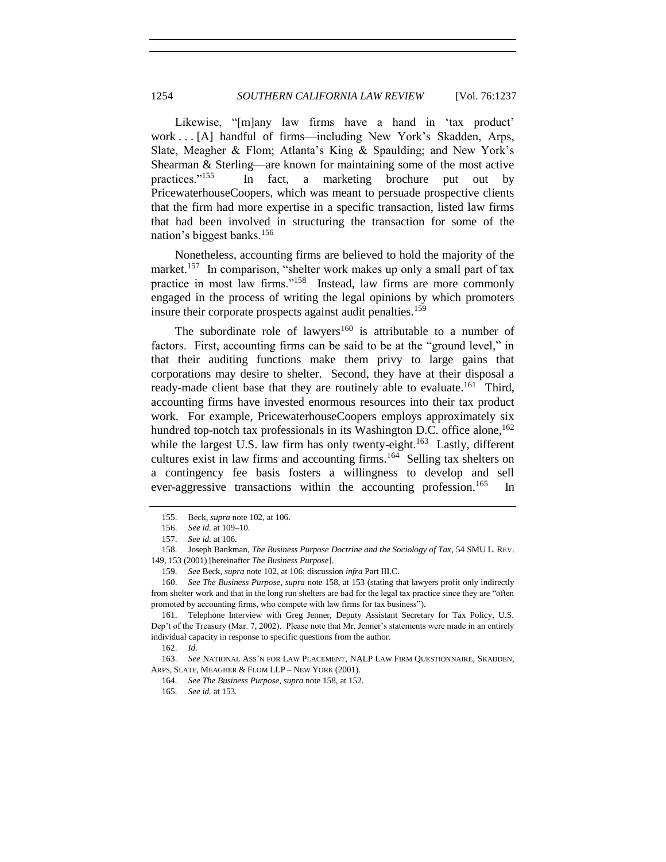Likewise, "[m]any law firms have a hand in 'tax product' work . . . [A] handful of firms—including New York's Skadden, Arps, Slate, Meagher & Flom; Atlanta's King & Spaulding; and New York's Shearman & Sterling—are known for maintaining some of the most active practices."<sup>155</sup> In fact, a marketing brochure put out by PricewaterhouseCoopers, which was meant to persuade prospective clients that the firm had more expertise in a specific transaction, listed law firms that had been involved in structuring the transaction for some of the nation's biggest banks.<sup>156</sup>

<span id="page-17-0"></span>Nonetheless, accounting firms are believed to hold the majority of the market.<sup>157</sup> In comparison, "shelter work makes up only a small part of tax practice in most law firms."<sup>158</sup> Instead, law firms are more commonly engaged in the process of writing the legal opinions by which promoters insure their corporate prospects against audit penalties.<sup>159</sup>

<span id="page-17-1"></span>The subordinate role of lawyers<sup>160</sup> is attributable to a number of factors. First, accounting firms can be said to be at the "ground level," in that their auditing functions make them privy to large gains that corporations may desire to shelter. Second, they have at their disposal a ready-made client base that they are routinely able to evaluate.<sup>161</sup> Third, accounting firms have invested enormous resources into their tax product work. For example, PricewaterhouseCoopers employs approximately six hundred top-notch tax professionals in its Washington D.C. office alone,  $162$ while the largest U.S. law firm has only twenty-eight.<sup>163</sup> Lastly, different cultures exist in law firms and accounting firms.<sup>164</sup> Selling tax shelters on a contingency fee basis fosters a willingness to develop and sell ever-aggressive transactions within the accounting profession.<sup>165</sup> In

<sup>155.</sup> Beck, *supra* not[e 102,](#page-12-0) at 106.

<sup>156.</sup> *See id.* at 109–10*.*

<sup>157.</sup> *See id.* at 106*.*

<sup>158.</sup> Joseph Bankman, *The Business Purpose Doctrine and the Sociology of Tax*, 54 SMU L. REV. 149, 153 (2001) [hereinafter *The Business Purpose*].

<sup>159.</sup> *See* Beck, *supra* not[e 102,](#page-12-0) at 106; discussion *infra* Part III.C.

<sup>160.</sup> *See The Business Purpose*, *supra* note [158,](#page-17-0) at 153 (stating that lawyers profit only indirectly from shelter work and that in the long run shelters are bad for the legal tax practice since they are "often promoted by accounting firms, who compete with law firms for tax business").

<sup>161.</sup> Telephone Interview with Greg Jenner, Deputy Assistant Secretary for Tax Policy, U.S. Dep't of the Treasury (Mar. 7, 2002). Please note that Mr. Jenner's statements were made in an entirely individual capacity in response to specific questions from the author.

<sup>162.</sup> *Id.*

<sup>163.</sup> *See* NATIONAL ASS'N FOR LAW PLACEMENT, NALP LAW FIRM QUESTIONNAIRE, SKADDEN, ARPS, SLATE, MEAGHER & FLOM LLP – NEW YORK (2001).

<sup>164.</sup> *See The Business Purpose*, *supra* note [158,](#page-17-0) at 152.

<sup>165.</sup> *See id.* at 153*.*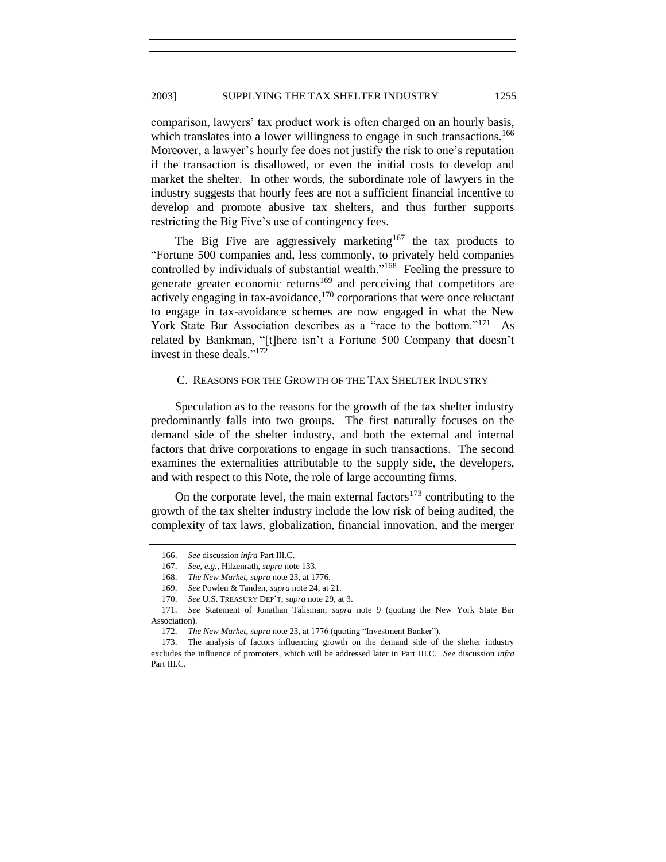comparison, lawyers' tax product work is often charged on an hourly basis, which translates into a lower willingness to engage in such transactions.<sup>166</sup> Moreover, a lawyer's hourly fee does not justify the risk to one's reputation if the transaction is disallowed, or even the initial costs to develop and market the shelter. In other words, the subordinate role of lawyers in the industry suggests that hourly fees are not a sufficient financial incentive to develop and promote abusive tax shelters, and thus further supports restricting the Big Five's use of contingency fees.

The Big Five are aggressively marketing<sup>167</sup> the tax products to ―Fortune 500 companies and, less commonly, to privately held companies controlled by individuals of substantial wealth."<sup>168</sup> Feeling the pressure to generate greater economic returns<sup>169</sup> and perceiving that competitors are actively engaging in tax-avoidance,<sup>170</sup> corporations that were once reluctant to engage in tax-avoidance schemes are now engaged in what the New York State Bar Association describes as a "race to the bottom."<sup>171</sup> As related by Bankman, "[t]here isn't a Fortune 500 Company that doesn't invest in these deals."<sup>172</sup>

#### <span id="page-18-0"></span>C. REASONS FOR THE GROWTH OF THE TAX SHELTER INDUSTRY

Speculation as to the reasons for the growth of the tax shelter industry predominantly falls into two groups. The first naturally focuses on the demand side of the shelter industry, and both the external and internal factors that drive corporations to engage in such transactions. The second examines the externalities attributable to the supply side, the developers, and with respect to this Note, the role of large accounting firms.

On the corporate level, the main external factors<sup>173</sup> contributing to the growth of the tax shelter industry include the low risk of being audited, the complexity of tax laws, globalization, financial innovation, and the merger

<sup>166.</sup> *See* discussion *infra* Part III.C.

<sup>167.</sup> *See, e.g.*, Hilzenrath, *supra* not[e 133.](#page-15-0)

<sup>168.</sup> *The New Market*, *supra* not[e 23,](#page-4-1) at 1776.

<sup>169.</sup> *See* Powlen & Tanden, *supra* not[e 24,](#page-4-0) at 21.

<sup>170.</sup> *See* U.S. TREASURY DEP'T, *supra* note [29,](#page-5-0) at 3.

<sup>171.</sup> *See* Statement of Jonathan Talisman, *supra* note [9](#page-1-3) (quoting the New York State Bar Association).

<sup>172.</sup> *The New Market, supra* not[e 23,](#page-4-1) at 1776 (quoting "Investment Banker").

<sup>173.</sup> The analysis of factors influencing growth on the demand side of the shelter industry excludes the influence of promoters, which will be addressed later in Part III.C. *See* discussion *infra* Part III.C.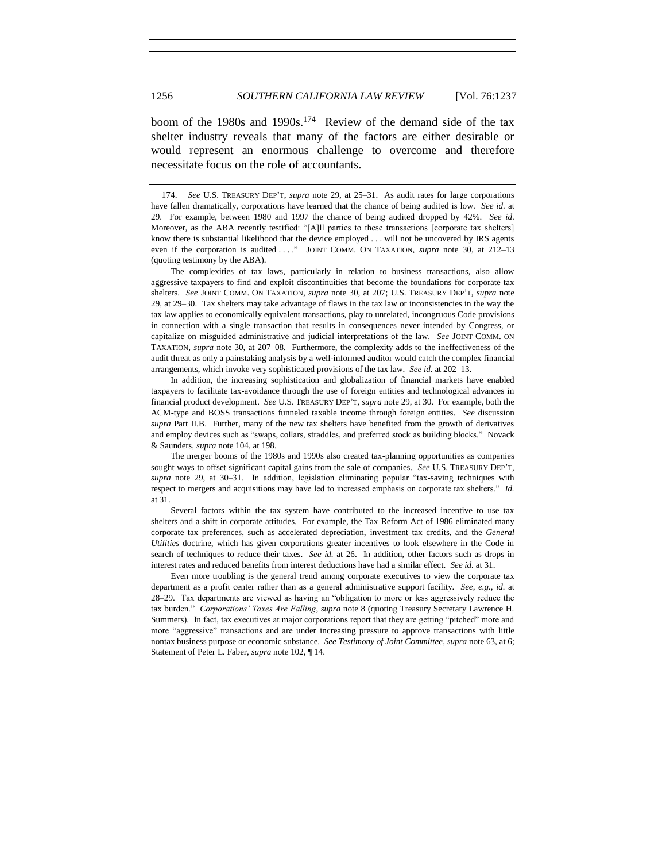boom of the 1980s and 1990s.<sup>174</sup> Review of the demand side of the tax shelter industry reveals that many of the factors are either desirable or would represent an enormous challenge to overcome and therefore necessitate focus on the role of accountants.

The complexities of tax laws, particularly in relation to business transactions, also allow aggressive taxpayers to find and exploit discontinuities that become the foundations for corporate tax shelters. *See* JOINT COMM. ON TAXATION, *supra* note [30,](#page-5-1) at 207; U.S. TREASURY DEP'T, *supra* note [29,](#page-5-0) at 29–30. Tax shelters may take advantage of flaws in the tax law or inconsistencies in the way the tax law applies to economically equivalent transactions, play to unrelated, incongruous Code provisions in connection with a single transaction that results in consequences never intended by Congress, or capitalize on misguided administrative and judicial interpretations of the law. *See* JOINT COMM. ON TAXATION, *supra* not[e 30,](#page-5-1) at 207–08. Furthermore, the complexity adds to the ineffectiveness of the audit threat as only a painstaking analysis by a well-informed auditor would catch the complex financial arrangements, which invoke very sophisticated provisions of the tax law. *See id.* at 202–13.

In addition, the increasing sophistication and globalization of financial markets have enabled taxpayers to facilitate tax-avoidance through the use of foreign entities and technological advances in financial product development. *See* U.S. TREASURY DEP'T, *supra* note [29,](#page-5-0) at 30. For example, both the ACM-type and BOSS transactions funneled taxable income through foreign entities. *See* discussion *supra* Part II.B. Further, many of the new tax shelters have benefited from the growth of derivatives and employ devices such as "swaps, collars, straddles, and preferred stock as building blocks." Novack & Saunders, *supra* not[e 104,](#page-13-0) at 198.

The merger booms of the 1980s and 1990s also created tax-planning opportunities as companies sought ways to offset significant capital gains from the sale of companies. *See* U.S. TREASURY DEP'T, supra note [29,](#page-5-0) at 30-31. In addition, legislation eliminating popular "tax-saving techniques with respect to mergers and acquisitions may have led to increased emphasis on corporate tax shelters." *Id.* at 31.

Several factors within the tax system have contributed to the increased incentive to use tax shelters and a shift in corporate attitudes. For example, the Tax Reform Act of 1986 eliminated many corporate tax preferences, such as accelerated depreciation, investment tax credits, and the *General Utilities* doctrine, which has given corporations greater incentives to look elsewhere in the Code in search of techniques to reduce their taxes. *See id.* at 26. In addition, other factors such as drops in interest rates and reduced benefits from interest deductions have had a similar effect. *See id.* at 31.

Even more troubling is the general trend among corporate executives to view the corporate tax department as a profit center rather than as a general administrative support facility. *See, e.g.*, *id.* at 28–29. Tax departments are viewed as having an "obligation to more or less aggressively reduce the tax burden.‖ *Corporations' Taxes Are Falling*, *supra* note [8](#page-1-0) (quoting Treasury Secretary Lawrence H. Summers). In fact, tax executives at major corporations report that they are getting "pitched" more and more "aggressive" transactions and are under increasing pressure to approve transactions with little nontax business purpose or economic substance. *See Testimony of Joint Committee*, *supra* note [63,](#page-9-0) at 6; Statement of Peter L. Faber, *supra* not[e 102,](#page-12-0) ¶ 14.

<sup>174.</sup> *See* U.S. TREASURY DEP'T, *supra* note [29,](#page-5-0) at 25–31. As audit rates for large corporations have fallen dramatically, corporations have learned that the chance of being audited is low. *See id.* at 29. For example, between 1980 and 1997 the chance of being audited dropped by 42%. *See id*. Moreover, as the ABA recently testified: "[A]ll parties to these transactions [corporate tax shelters] know there is substantial likelihood that the device employed . . . will not be uncovered by IRS agents even if the corporation is audited . . . . " JOINT COMM. ON TAXATION, *supra* note [30,](#page-5-1) at 212-13 (quoting testimony by the ABA).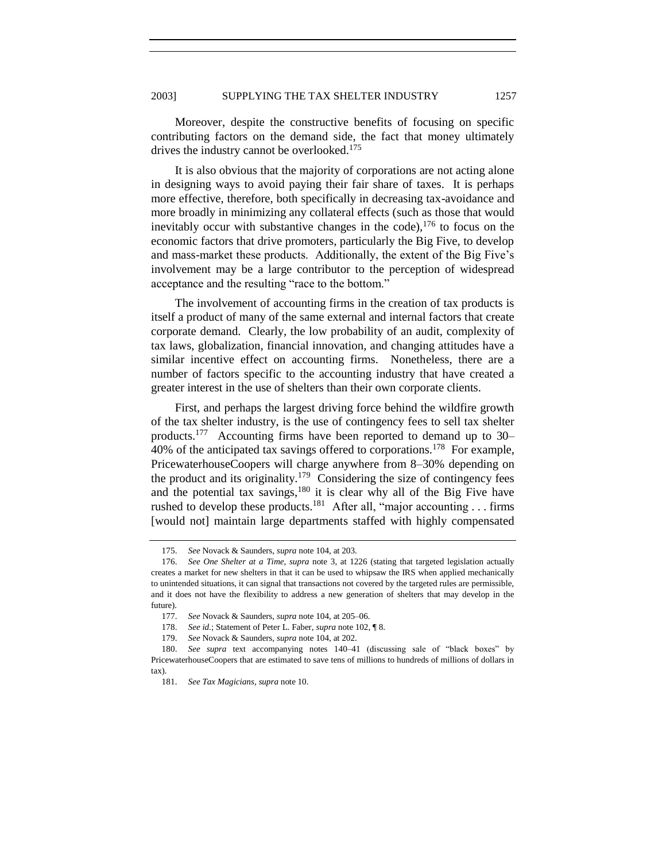Moreover, despite the constructive benefits of focusing on specific contributing factors on the demand side, the fact that money ultimately drives the industry cannot be overlooked.<sup>175</sup>

It is also obvious that the majority of corporations are not acting alone in designing ways to avoid paying their fair share of taxes. It is perhaps more effective, therefore, both specifically in decreasing tax-avoidance and more broadly in minimizing any collateral effects (such as those that would inevitably occur with substantive changes in the code),  $176$  to focus on the economic factors that drive promoters, particularly the Big Five, to develop and mass-market these products. Additionally, the extent of the Big Five's involvement may be a large contributor to the perception of widespread acceptance and the resulting "race to the bottom."

The involvement of accounting firms in the creation of tax products is itself a product of many of the same external and internal factors that create corporate demand. Clearly, the low probability of an audit, complexity of tax laws, globalization, financial innovation, and changing attitudes have a similar incentive effect on accounting firms. Nonetheless, there are a number of factors specific to the accounting industry that have created a greater interest in the use of shelters than their own corporate clients.

First, and perhaps the largest driving force behind the wildfire growth of the tax shelter industry, is the use of contingency fees to sell tax shelter products.<sup>177</sup> Accounting firms have been reported to demand up to 30– 40% of the anticipated tax savings offered to corporations.<sup>178</sup> For example, PricewaterhouseCoopers will charge anywhere from 8–30% depending on the product and its originality.<sup>179</sup> Considering the size of contingency fees and the potential tax savings, $180$  it is clear why all of the Big Five have rushed to develop these products.<sup>181</sup> After all, "major accounting . . . firms [would not] maintain large departments staffed with highly compensated

<span id="page-20-0"></span>

<sup>175.</sup> *See* Novack & Saunders, *supra* not[e 104,](#page-13-0) at 203.

<sup>176.</sup> *See One Shelter at a Time*, *supra* note [3,](#page-0-2) at 1226 (stating that targeted legislation actually creates a market for new shelters in that it can be used to whipsaw the IRS when applied mechanically to unintended situations, it can signal that transactions not covered by the targeted rules are permissible, and it does not have the flexibility to address a new generation of shelters that may develop in the future).

<sup>177.</sup> *See* Novack & Saunders, *supra* not[e 104,](#page-13-0) at 205–06.

<sup>178.</sup> *See id.*; Statement of Peter L. Faber, *supra* not[e 102,](#page-12-0) ¶ 8.

<sup>179.</sup> *See* Novack & Saunders, *supra* not[e 104,](#page-13-0) at 202.

<sup>180.</sup> *See supra* text accompanying notes [140–](#page-16-0)41 (discussing sale of "black boxes" by PricewaterhouseCoopers that are estimated to save tens of millions to hundreds of millions of dollars in tax).

<sup>181.</sup> *See Tax Magicians*, *supra* note [10.](#page-1-2)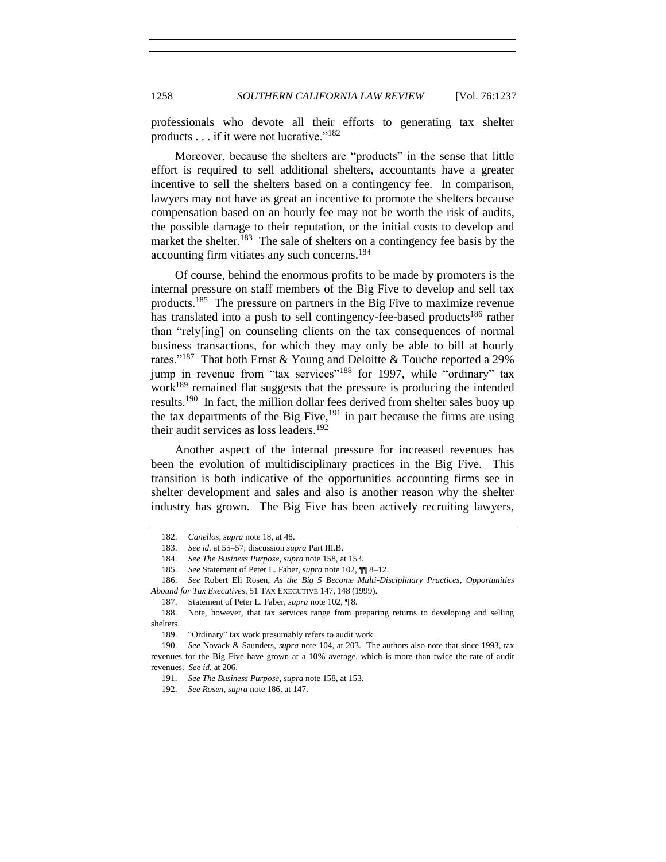professionals who devote all their efforts to generating tax shelter products  $\dots$  if it were not lucrative."<sup>182</sup>

Moreover, because the shelters are "products" in the sense that little effort is required to sell additional shelters, accountants have a greater incentive to sell the shelters based on a contingency fee. In comparison, lawyers may not have as great an incentive to promote the shelters because compensation based on an hourly fee may not be worth the risk of audits, the possible damage to their reputation, or the initial costs to develop and market the shelter.<sup>183</sup> The sale of shelters on a contingency fee basis by the accounting firm vitiates any such concerns.<sup>184</sup>

<span id="page-21-0"></span>Of course, behind the enormous profits to be made by promoters is the internal pressure on staff members of the Big Five to develop and sell tax products.<sup>185</sup> The pressure on partners in the Big Five to maximize revenue has translated into a push to sell contingency-fee-based products<sup>186</sup> rather than "rely[ing] on counseling clients on the tax consequences of normal business transactions, for which they may only be able to bill at hourly rates."<sup>187</sup> That both Ernst & Young and Deloitte & Touche reported a 29% jump in revenue from "tax services"<sup>188</sup> for 1997, while "ordinary" tax work<sup>189</sup> remained flat suggests that the pressure is producing the intended results.<sup>190</sup> In fact, the million dollar fees derived from shelter sales buoy up the tax departments of the Big Five,  $191$  in part because the firms are using their audit services as loss leaders.<sup>192</sup>

Another aspect of the internal pressure for increased revenues has been the evolution of multidisciplinary practices in the Big Five. This transition is both indicative of the opportunities accounting firms see in shelter development and sales and also is another reason why the shelter industry has grown. The Big Five has been actively recruiting lawyers,

<sup>182.</sup> *Canellos*, *supra* not[e 18,](#page-2-1) at 48.

<sup>183.</sup> *See id.* at 55–57; discussion *supra* Part III.B.

<sup>184.</sup> *See The Business Purpose*, *supra* note [158,](#page-17-0) at 153.

<sup>185.</sup> *See* Statement of Peter L. Faber, *supra* not[e 102,](#page-12-0) ¶¶ 8–12.

<sup>186.</sup> *See* Robert Eli Rosen, *As the Big 5 Become Multi-Disciplinary Practices, Opportunities Abound for Tax Executives*, 51 TAX EXECUTIVE 147, 148 (1999).

<sup>187.</sup> Statement of Peter L. Faber, *supra* not[e 102,](#page-12-0) ¶ 8.

<sup>188.</sup> Note, however, that tax services range from preparing returns to developing and selling shelters.

<sup>189. &</sup>quot;Ordinary" tax work presumably refers to audit work.

<sup>190.</sup> *See* Novack & Saunders, *supra* note [104,](#page-13-0) at 203. The authors also note that since 1993, tax revenues for the Big Five have grown at a 10% average, which is more than twice the rate of audit revenues. *See id.* at 206.

<sup>191.</sup> *See The Business Purpose*, *supra* note [158,](#page-17-0) at 153.

<sup>192.</sup> *See Rosen*, *supra* not[e 186,](#page-21-0) at 147.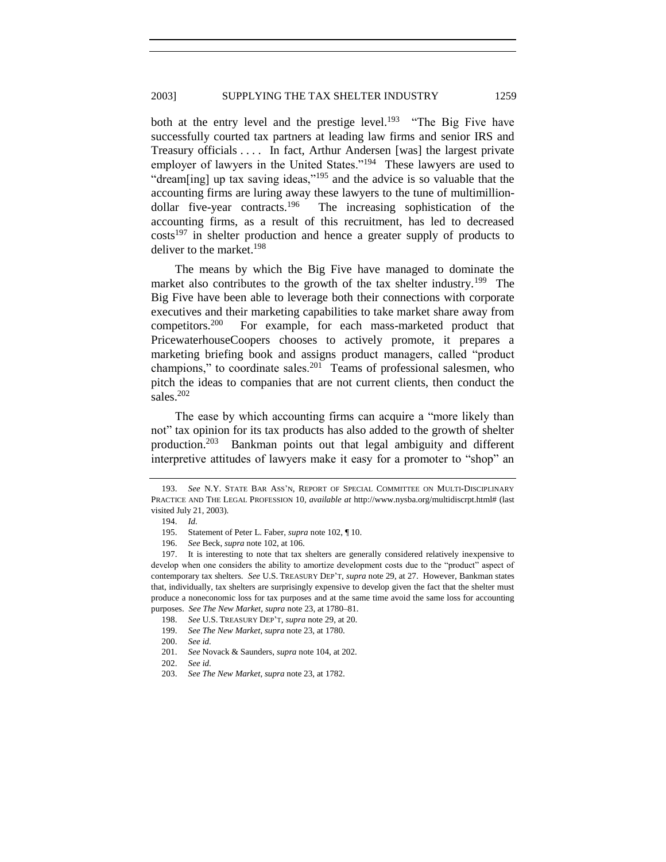both at the entry level and the prestige level.<sup>193</sup> "The Big Five have successfully courted tax partners at leading law firms and senior IRS and Treasury officials . . . . In fact, Arthur Andersen [was] the largest private employer of lawyers in the United States."<sup>194</sup> These lawyers are used to "dream[ing] up tax saving ideas," $195$  and the advice is so valuable that the accounting firms are luring away these lawyers to the tune of multimilliondollar five-year contracts.<sup>196</sup> The increasing sophistication of the accounting firms, as a result of this recruitment, has led to decreased  $costs<sup>197</sup>$  in shelter production and hence a greater supply of products to deliver to the market.<sup>198</sup>

The means by which the Big Five have managed to dominate the market also contributes to the growth of the tax shelter industry.<sup>199</sup> The Big Five have been able to leverage both their connections with corporate executives and their marketing capabilities to take market share away from competitors.<sup>200</sup> For example, for each mass-marketed product that PricewaterhouseCoopers chooses to actively promote, it prepares a marketing briefing book and assigns product managers, called "product" champions," to coordinate sales. $201$  Teams of professional salesmen, who pitch the ideas to companies that are not current clients, then conduct the sales.<sup>202</sup>

The ease by which accounting firms can acquire a "more likely than not" tax opinion for its tax products has also added to the growth of shelter production.<sup>203</sup> Bankman points out that legal ambiguity and different interpretive attitudes of lawyers make it easy for a promoter to "shop" an

<sup>193.</sup> *See* N.Y. STATE BAR ASS'N, REPORT OF SPECIAL COMMITTEE ON MULTI-DISCIPLINARY PRACTICE AND THE LEGAL PROFESSION 10, *available at* http://www.nysba.org/multidiscrpt.html# (last visited July 21, 2003).

<sup>194.</sup> *Id.*

<sup>195.</sup> Statement of Peter L. Faber, *supra* not[e 102,](#page-12-0) ¶ 10.

<sup>196.</sup> *See* Beck, *supra* not[e 102,](#page-12-0) at 106.

<sup>197.</sup> It is interesting to note that tax shelters are generally considered relatively inexpensive to develop when one considers the ability to amortize development costs due to the "product" aspect of contemporary tax shelters. *See* U.S. TREASURY DEP'T, *supra* not[e 29,](#page-5-0) at 27. However, Bankman states that, individually, tax shelters are surprisingly expensive to develop given the fact that the shelter must produce a noneconomic loss for tax purposes and at the same time avoid the same loss for accounting purposes. *See The New Market*, *supra* not[e 23,](#page-4-1) at 1780–81.

<sup>198.</sup> *See* U.S. TREASURY DEP'T, *supra* note [29,](#page-5-0) at 20.

<sup>199.</sup> *See The New Market*, *supra* not[e 23,](#page-4-1) at 1780.

<sup>200.</sup> *See id.*

<sup>201.</sup> *See* Novack & Saunders, *supra* not[e 104,](#page-13-0) at 202.

<sup>202.</sup> *See id.*

<sup>203.</sup> *See The New Market*, *supra* not[e 23,](#page-4-1) at 1782.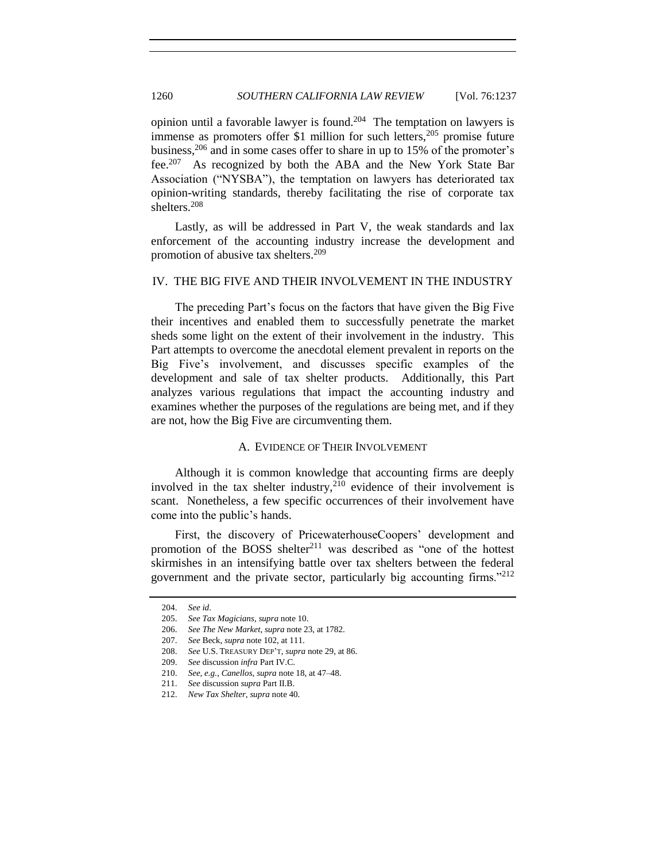opinion until a favorable lawyer is found.<sup>204</sup> The temptation on lawyers is immense as promoters offer \$1 million for such letters,  $205$  promise future business,  $206$  and in some cases offer to share in up to 15% of the promoter's fee.<sup>207</sup> As recognized by both the ABA and the New York State Bar Association ("NYSBA"), the temptation on lawyers has deteriorated tax opinion-writing standards, thereby facilitating the rise of corporate tax shelters.<sup>208</sup>

Lastly, as will be addressed in Part V, the weak standards and lax enforcement of the accounting industry increase the development and promotion of abusive tax shelters.<sup>209</sup>

## IV. THE BIG FIVE AND THEIR INVOLVEMENT IN THE INDUSTRY

The preceding Part's focus on the factors that have given the Big Five their incentives and enabled them to successfully penetrate the market sheds some light on the extent of their involvement in the industry. This Part attempts to overcome the anecdotal element prevalent in reports on the Big Five's involvement, and discusses specific examples of the development and sale of tax shelter products. Additionally, this Part analyzes various regulations that impact the accounting industry and examines whether the purposes of the regulations are being met, and if they are not, how the Big Five are circumventing them.

#### A. EVIDENCE OF THEIR INVOLVEMENT

Although it is common knowledge that accounting firms are deeply involved in the tax shelter industry, $210$  evidence of their involvement is scant. Nonetheless, a few specific occurrences of their involvement have come into the public's hands.

First, the discovery of PricewaterhouseCoopers' development and promotion of the BOSS shelter<sup>211</sup> was described as "one of the hottest skirmishes in an intensifying battle over tax shelters between the federal government and the private sector, particularly big accounting firms."<sup>212</sup>

<sup>204.</sup> *See id*.

<sup>205.</sup> *See Tax Magicians*, *supra* note [10.](#page-1-2)

<sup>206.</sup> *See The New Market*, *supra* not[e 23,](#page-4-1) at 1782.

<sup>207.</sup> *See* Beck, *supra* not[e 102,](#page-12-0) at 111.

<sup>208.</sup> *See* U.S. TREASURY DEP'T, *supra* note [29,](#page-5-0) at 86.

<sup>209.</sup> *See* discussion *infra* Part IV.C.

<sup>210.</sup> *See, e.g.*, *Canellos*, *supra* not[e 18,](#page-2-1) at 47–48.

<sup>211.</sup> *See* discussion *supra* Part II.B.

<sup>212.</sup> *New Tax Shelter*, *supra* not[e 40.](#page-6-0)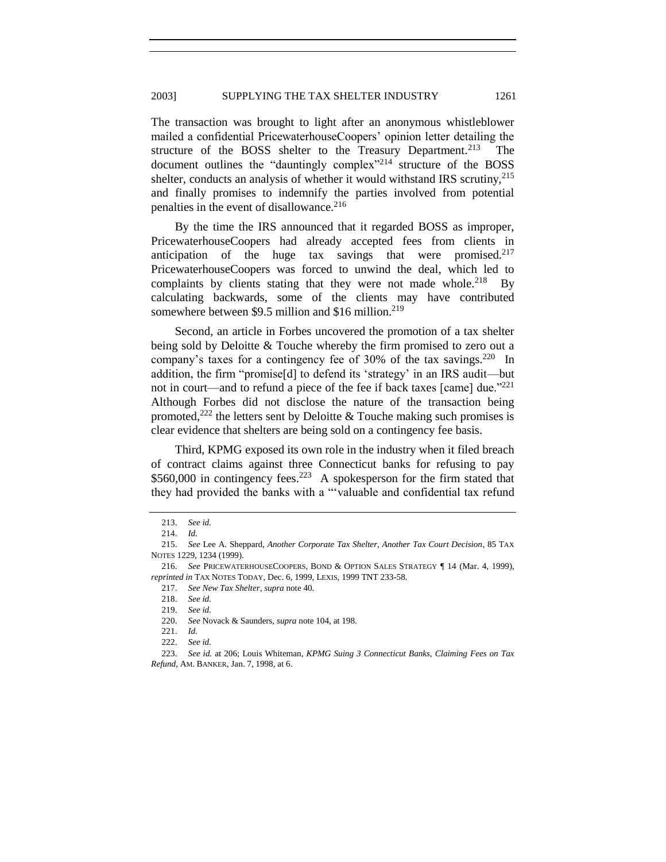The transaction was brought to light after an anonymous whistleblower mailed a confidential PricewaterhouseCoopers' opinion letter detailing the structure of the BOSS shelter to the Treasury Department.<sup>213</sup> The document outlines the "dauntingly complex"<sup>214</sup> structure of the BOSS shelter, conducts an analysis of whether it would withstand IRS scrutiny,  $215$ and finally promises to indemnify the parties involved from potential penalties in the event of disallowance.<sup>216</sup>

By the time the IRS announced that it regarded BOSS as improper, PricewaterhouseCoopers had already accepted fees from clients in anticipation of the huge tax savings that were promised. $217$ PricewaterhouseCoopers was forced to unwind the deal, which led to complaints by clients stating that they were not made whole.<sup>218</sup> By calculating backwards, some of the clients may have contributed somewhere between \$9.5 million and \$16 million. $2^{19}$ 

Second, an article in Forbes uncovered the promotion of a tax shelter being sold by Deloitte & Touche whereby the firm promised to zero out a company's taxes for a contingency fee of 30% of the tax savings.<sup>220</sup> In addition, the firm "promise<sup>[d]</sup> to defend its 'strategy' in an IRS audit—but not in court—and to refund a piece of the fee if back taxes  $\lceil \text{cam} \rceil$  due.<sup>1221</sup> Although Forbes did not disclose the nature of the transaction being promoted,<sup>222</sup> the letters sent by Deloitte & Touche making such promises is clear evidence that shelters are being sold on a contingency fee basis.

Third, KPMG exposed its own role in the industry when it filed breach of contract claims against three Connecticut banks for refusing to pay  $$560,000$  in contingency fees.<sup>223</sup> A spokesperson for the firm stated that they had provided the banks with a "valuable and confidential tax refund

<span id="page-24-0"></span><sup>213.</sup> *See id.*

<sup>214.</sup> *Id.*

<sup>215.</sup> *See* Lee A. Sheppard, *Another Corporate Tax Shelter, Another Tax Court Decision*, 85 TAX NOTES 1229, 1234 (1999).

<sup>216.</sup> *See* PRICEWATERHOUSECOOPERS, BOND & OPTION SALES STRATEGY ¶ 14 (Mar. 4, 1999), *reprinted in* TAX NOTES TODAY, Dec. 6, 1999, LEXIS, 1999 TNT 233-58.

<sup>217.</sup> *See New Tax Shelter*, *supra* not[e 40.](#page-6-0)

<sup>218.</sup> *See id.*

<sup>219.</sup> *See id.*

<sup>220.</sup> *See* Novack & Saunders, *supra* not[e 104,](#page-13-0) at 198.

<sup>221.</sup> *Id.*

<sup>222.</sup> *See id.*

<sup>223.</sup> *See id.* at 206; Louis Whiteman, *KPMG Suing 3 Connecticut Banks, Claiming Fees on Tax Refund*, AM. BANKER, Jan. 7, 1998, at 6.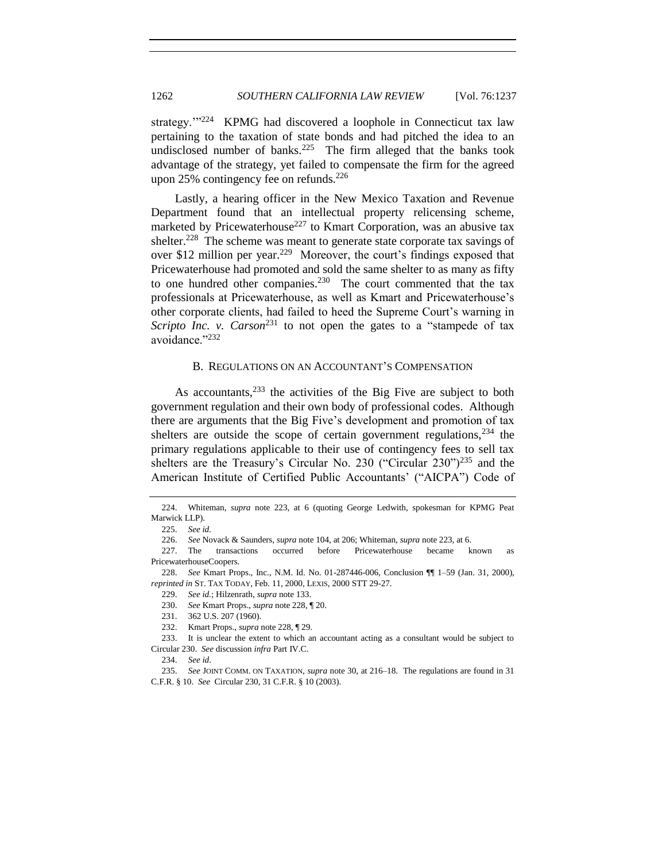strategy."<sup>224</sup> KPMG had discovered a loophole in Connecticut tax law pertaining to the taxation of state bonds and had pitched the idea to an undisclosed number of banks.<sup>225</sup> The firm alleged that the banks took advantage of the strategy, yet failed to compensate the firm for the agreed upon 25% contingency fee on refunds.<sup>226</sup>

<span id="page-25-0"></span>Lastly, a hearing officer in the New Mexico Taxation and Revenue Department found that an intellectual property relicensing scheme, marketed by Pricewaterhouse<sup>227</sup> to Kmart Corporation, was an abusive tax shelter.<sup>228</sup> The scheme was meant to generate state corporate tax savings of over \$12 million per year.<sup>229</sup> Moreover, the court's findings exposed that Pricewaterhouse had promoted and sold the same shelter to as many as fifty to one hundred other companies.<sup>230</sup> The court commented that the tax professionals at Pricewaterhouse, as well as Kmart and Pricewaterhouse's other corporate clients, had failed to heed the Supreme Court's warning in *Scripto Inc. v. Carson*<sup>231</sup> to not open the gates to a "stampede of tax avoidance."232

## B. REGULATIONS ON AN ACCOUNTANT'S COMPENSATION

As accountants,  $233$  the activities of the Big Five are subject to both government regulation and their own body of professional codes. Although there are arguments that the Big Five's development and promotion of tax shelters are outside the scope of certain government regulations,  $234$  the primary regulations applicable to their use of contingency fees to sell tax shelters are the Treasury's Circular No. 230 ("Circular  $230$ ")<sup>235</sup> and the American Institute of Certified Public Accountants' ("AICPA") Code of

234. *See id*.

235. *See* JOINT COMM. ON TAXATION, *supra* not[e 30,](#page-5-1) at 216–18. The regulations are found in 31 C.F.R. § 10. *See* Circular 230, 31 C.F.R. § 10 (2003).

<sup>224.</sup> Whiteman, *supra* note [223,](#page-24-0) at 6 (quoting George Ledwith, spokesman for KPMG Peat Marwick LLP).

<sup>225.</sup> *See id.*

<sup>226.</sup> *See* Novack & Saunders, *supra* not[e 104,](#page-13-0) at 206; Whiteman, *supra* not[e 223,](#page-24-0) at 6.

<sup>227.</sup> The transactions occurred before Pricewaterhouse became known as PricewaterhouseCoopers.

<sup>228.</sup> *See* Kmart Props., Inc., N.M. Id. No. 01-287446-006, Conclusion ¶¶ 1–59 (Jan. 31, 2000), *reprinted in* ST. TAX TODAY, Feb. 11, 2000, LEXIS, 2000 STT 29-27.

<sup>229.</sup> *See id.*; Hilzenrath, *supra* not[e 133.](#page-15-0)

<sup>230.</sup> *See* Kmart Props., *supra* note [228,](#page-25-0) ¶ 20.

<sup>231.</sup> 362 U.S. 207 (1960).

<sup>232.</sup> Kmart Props., *supra* not[e 228,](#page-25-0) ¶ 29.

<sup>233.</sup> It is unclear the extent to which an accountant acting as a consultant would be subject to Circular 230. *See* discussion *infra* Part IV.C.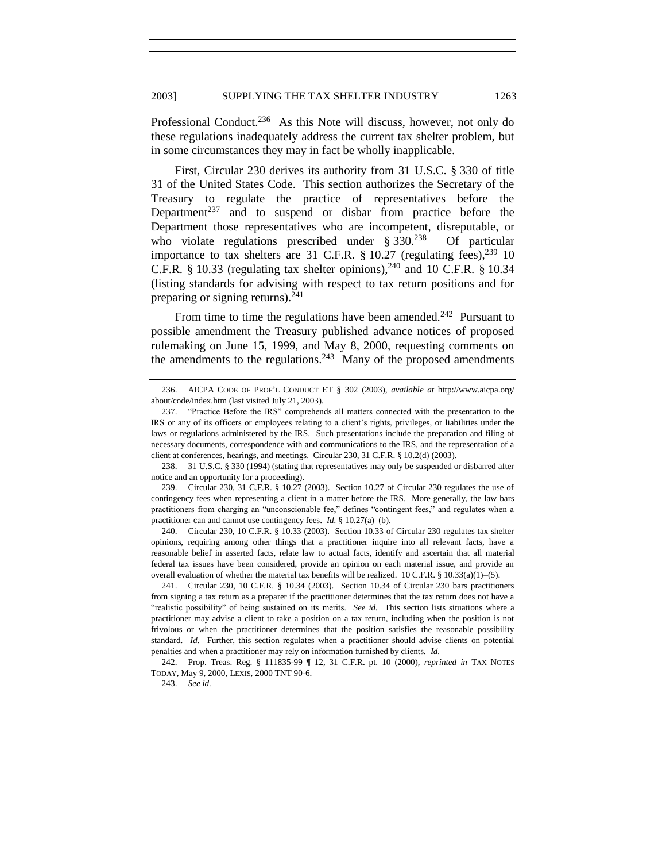<span id="page-26-1"></span>Professional Conduct.<sup>236</sup> As this Note will discuss, however, not only do these regulations inadequately address the current tax shelter problem, but in some circumstances they may in fact be wholly inapplicable.

First, Circular 230 derives its authority from 31 U.S.C. § 330 of title 31 of the United States Code. This section authorizes the Secretary of the Treasury to regulate the practice of representatives before the Department<sup>237</sup> and to suspend or disbar from practice before the Department those representatives who are incompetent, disreputable, or who violate regulations prescribed under  $§$  330.<sup>238</sup> Of particular importance to tax shelters are 31 C.F.R.  $\S$  10.27 (regulating fees),  $^{239}$  10 C.F.R. § 10.33 (regulating tax shelter opinions),<sup>240</sup> and 10 C.F.R. § 10.34 (listing standards for advising with respect to tax return positions and for preparing or signing returns). $^{241}$ 

<span id="page-26-0"></span>From time to time the regulations have been amended.<sup>242</sup> Pursuant to possible amendment the Treasury published advance notices of proposed rulemaking on June 15, 1999, and May 8, 2000, requesting comments on the amendments to the regulations.<sup>243</sup> Many of the proposed amendments

240. Circular 230, 10 C.F.R. § 10.33 (2003). Section 10.33 of Circular 230 regulates tax shelter opinions, requiring among other things that a practitioner inquire into all relevant facts, have a reasonable belief in asserted facts, relate law to actual facts, identify and ascertain that all material federal tax issues have been considered, provide an opinion on each material issue, and provide an overall evaluation of whether the material tax benefits will be realized. 10 C.F.R. § 10.33(a)(1)–(5).

241. Circular 230, 10 C.F.R. § 10.34 (2003). Section 10.34 of Circular 230 bars practitioners from signing a tax return as a preparer if the practitioner determines that the tax return does not have a "realistic possibility" of being sustained on its merits. *See id*. This section lists situations where a practitioner may advise a client to take a position on a tax return, including when the position is not frivolous or when the practitioner determines that the position satisfies the reasonable possibility standard. *Id.* Further, this section regulates when a practitioner should advise clients on potential penalties and when a practitioner may rely on information furnished by clients. *Id.*

242. Prop. Treas. Reg. § 111835-99 ¶ 12, 31 C.F.R. pt. 10 (2000), *reprinted in* TAX NOTES TODAY, May 9, 2000, LEXIS, 2000 TNT 90-6.

<sup>236.</sup> AICPA CODE OF PROF'L CONDUCT ET § 302 (2003), *available at* http://www.aicpa.org/ about/code/index.htm (last visited July 21, 2003).

<sup>237. &</sup>quot;Practice Before the IRS" comprehends all matters connected with the presentation to the IRS or any of its officers or employees relating to a client's rights, privileges, or liabilities under the laws or regulations administered by the IRS. Such presentations include the preparation and filing of necessary documents, correspondence with and communications to the IRS, and the representation of a client at conferences, hearings, and meetings. Circular 230, 31 C.F.R. § 10.2(d) (2003).

<sup>238.</sup> 31 U.S.C. § 330 (1994) (stating that representatives may only be suspended or disbarred after notice and an opportunity for a proceeding).

<sup>239.</sup> Circular 230, 31 C.F.R. § 10.27 (2003). Section 10.27 of Circular 230 regulates the use of contingency fees when representing a client in a matter before the IRS. More generally, the law bars practitioners from charging an "unconscionable fee," defines "contingent fees," and regulates when a practitioner can and cannot use contingency fees. *Id.* § 10.27(a)–(b).

<sup>243.</sup> *See id.*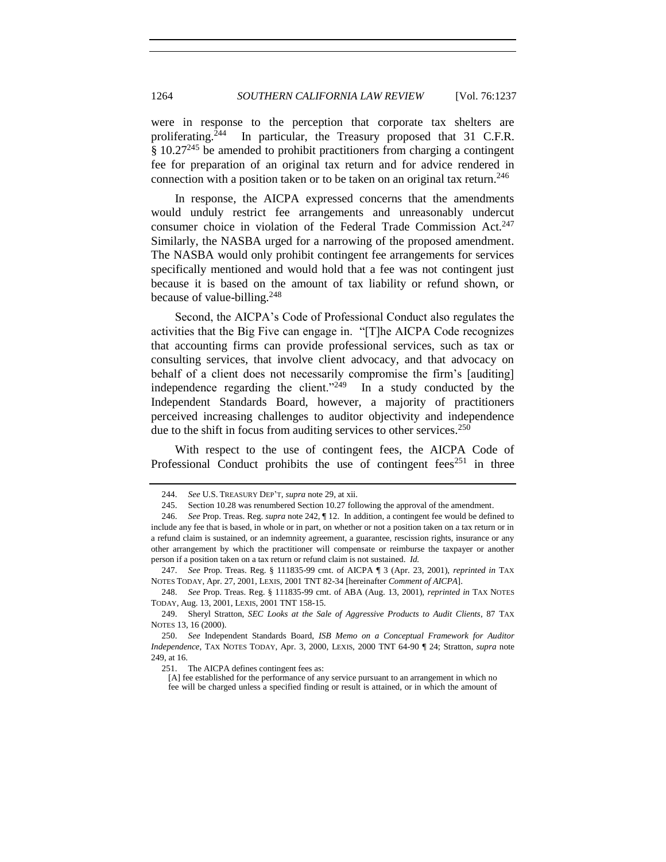were in response to the perception that corporate tax shelters are proliferating.<sup>244</sup> In particular, the Treasury proposed that 31 C.F.R.  $§ 10.27<sup>245</sup>$  be amended to prohibit practitioners from charging a contingent fee for preparation of an original tax return and for advice rendered in connection with a position taken or to be taken on an original tax return.<sup>246</sup>

<span id="page-27-1"></span>In response, the AICPA expressed concerns that the amendments would unduly restrict fee arrangements and unreasonably undercut consumer choice in violation of the Federal Trade Commission Act.<sup>247</sup> Similarly, the NASBA urged for a narrowing of the proposed amendment. The NASBA would only prohibit contingent fee arrangements for services specifically mentioned and would hold that a fee was not contingent just because it is based on the amount of tax liability or refund shown, or because of value-billing.<sup>248</sup>

Second, the AICPA's Code of Professional Conduct also regulates the activities that the Big Five can engage in. "[T]he AICPA Code recognizes that accounting firms can provide professional services, such as tax or consulting services, that involve client advocacy, and that advocacy on behalf of a client does not necessarily compromise the firm's [auditing] independence regarding the client. $1249$  In a study conducted by the Independent Standards Board, however, a majority of practitioners perceived increasing challenges to auditor objectivity and independence due to the shift in focus from auditing services to other services.<sup>250</sup>

<span id="page-27-0"></span>With respect to the use of contingent fees, the AICPA Code of Professional Conduct prohibits the use of contingent fees<sup>251</sup> in three

247. *See* Prop. Treas. Reg. § 111835-99 cmt. of AICPA ¶ 3 (Apr. 23, 2001), *reprinted in* TAX NOTES TODAY, Apr. 27, 2001, LEXIS, 2001 TNT 82-34 [hereinafter *Comment of AICPA*].

<sup>244.</sup> *See* U.S. TREASURY DEP'T, *supra* note [29,](#page-5-0) at xii.

<sup>245.</sup> Section 10.28 was renumbered Section 10.27 following the approval of the amendment.

<sup>246.</sup> *See* Prop. Treas. Reg. *supra* not[e 242,](#page-26-0) ¶ 12. In addition, a contingent fee would be defined to include any fee that is based, in whole or in part, on whether or not a position taken on a tax return or in a refund claim is sustained, or an indemnity agreement, a guarantee, rescission rights, insurance or any other arrangement by which the practitioner will compensate or reimburse the taxpayer or another person if a position taken on a tax return or refund claim is not sustained. *Id.*

<sup>248.</sup> *See* Prop. Treas. Reg. § 111835-99 cmt. of ABA (Aug. 13, 2001), *reprinted in* TAX NOTES TODAY, Aug. 13, 2001, LEXIS, 2001 TNT 158-15.

<sup>249.</sup> Sheryl Stratton, *SEC Looks at the Sale of Aggressive Products to Audit Clients*, 87 TAX NOTES 13, 16 (2000).

<sup>250.</sup> *See* Independent Standards Board, *ISB Memo on a Conceptual Framework for Auditor Independence*, TAX NOTES TODAY, Apr. 3, 2000, LEXIS, 2000 TNT 64-90 ¶ 24; Stratton, *supra* note [249,](#page-27-0) at 16.

<sup>251.</sup> The AICPA defines contingent fees as:

<sup>[</sup>A] fee established for the performance of any service pursuant to an arrangement in which no fee will be charged unless a specified finding or result is attained, or in which the amount of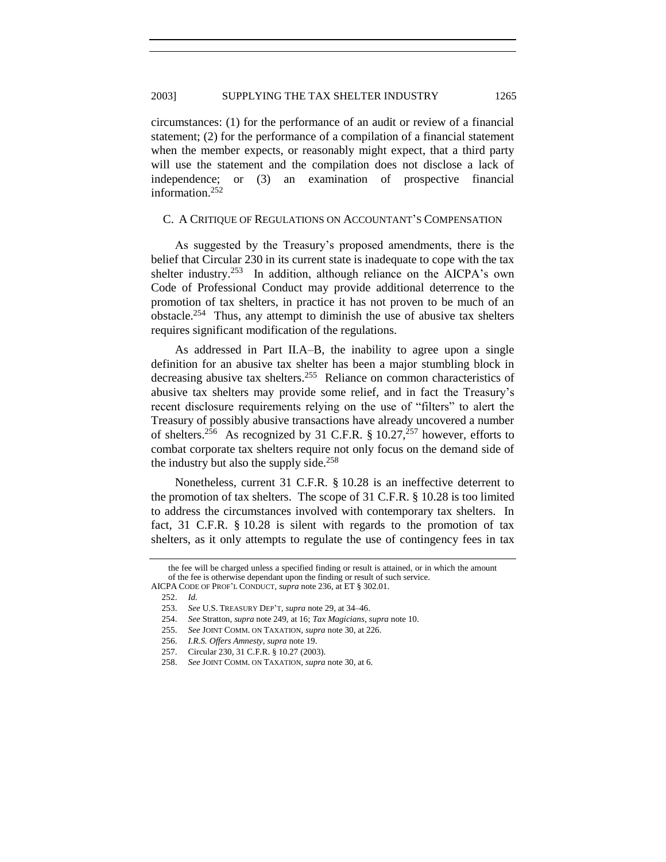circumstances: (1) for the performance of an audit or review of a financial statement; (2) for the performance of a compilation of a financial statement when the member expects, or reasonably might expect, that a third party will use the statement and the compilation does not disclose a lack of independence; or (3) an examination of prospective financial information.<sup>252</sup>

#### C. A CRITIQUE OF REGULATIONS ON ACCOUNTANT'S COMPENSATION

As suggested by the Treasury's proposed amendments, there is the belief that Circular 230 in its current state is inadequate to cope with the tax shelter industry.<sup>253</sup> In addition, although reliance on the AICPA's own Code of Professional Conduct may provide additional deterrence to the promotion of tax shelters, in practice it has not proven to be much of an obstacle.<sup>254</sup> Thus, any attempt to diminish the use of abusive tax shelters requires significant modification of the regulations.

As addressed in Part II.A–B, the inability to agree upon a single definition for an abusive tax shelter has been a major stumbling block in decreasing abusive tax shelters.<sup>255</sup> Reliance on common characteristics of abusive tax shelters may provide some relief, and in fact the Treasury's recent disclosure requirements relying on the use of "filters" to alert the Treasury of possibly abusive transactions have already uncovered a number of shelters.<sup>256</sup> As recognized by 31 C.F.R. § 10.27,<sup>257</sup> however, efforts to combat corporate tax shelters require not only focus on the demand side of the industry but also the supply side.<sup>258</sup>

Nonetheless, current 31 C.F.R. § 10.28 is an ineffective deterrent to the promotion of tax shelters. The scope of 31 C.F.R. § 10.28 is too limited to address the circumstances involved with contemporary tax shelters. In fact, 31 C.F.R. § 10.28 is silent with regards to the promotion of tax shelters, as it only attempts to regulate the use of contingency fees in tax

the fee will be charged unless a specified finding or result is attained, or in which the amount of the fee is otherwise dependant upon the finding or result of such service. AICPA CODE OF PROF'L CONDUCT, *supra* not[e 236,](#page-26-1) at ET § 302.01.

<sup>252.</sup> *Id.*

<sup>253.</sup> *See* U.S. TREASURY DEP'T, *supra* note [29,](#page-5-0) at 34–46.

<sup>254.</sup> *See* Stratton*, supra* not[e 249,](#page-27-0) at 16; *Tax Magicians*, *supra* not[e 10.](#page-1-2)

<sup>255.</sup> *See* JOINT COMM. ON TAXATION, *supra* not[e 30,](#page-5-1) at 226.

<sup>256.</sup> *I.R.S. Offers Amnesty*, *supra* not[e 19.](#page-2-0)

<sup>257.</sup> Circular 230, 31 C.F.R. § 10.27 (2003).

<sup>258.</sup> *See* JOINT COMM. ON TAXATION, *supra* not[e 30,](#page-5-1) at 6.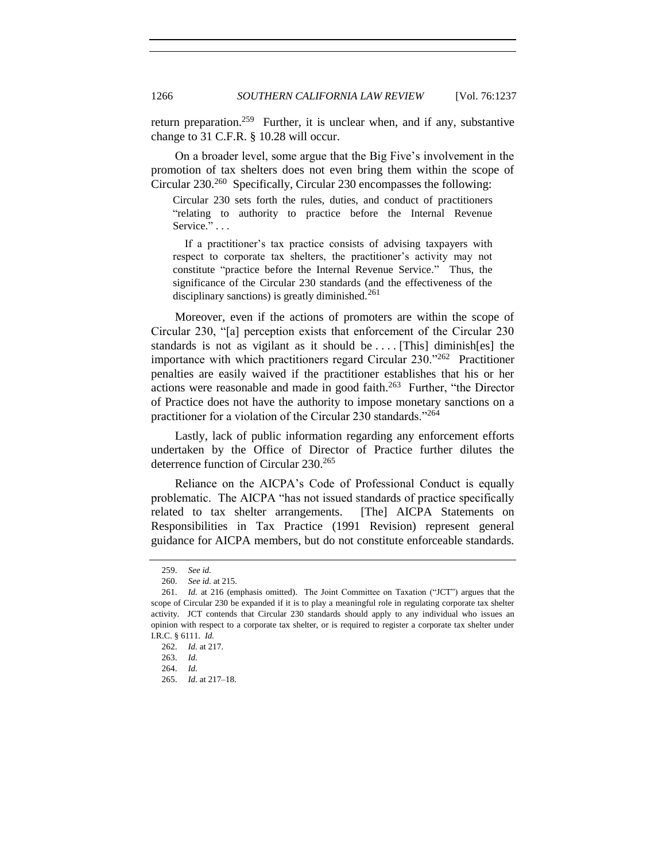return preparation.<sup>259</sup> Further, it is unclear when, and if any, substantive change to 31 C.F.R. § 10.28 will occur.

On a broader level, some argue that the Big Five's involvement in the promotion of tax shelters does not even bring them within the scope of Circular 230.<sup>260</sup> Specifically, Circular 230 encompasses the following:

Circular 230 sets forth the rules, duties, and conduct of practitioners "relating to authority to practice before the Internal Revenue Service." . . .

If a practitioner's tax practice consists of advising taxpayers with respect to corporate tax shelters, the practitioner's activity may not constitute "practice before the Internal Revenue Service." Thus, the significance of the Circular 230 standards (and the effectiveness of the disciplinary sanctions) is greatly diminished. $^{261}$ 

Moreover, even if the actions of promoters are within the scope of Circular 230, "[a] perception exists that enforcement of the Circular 230 standards is not as vigilant as it should be . . . . [This] diminish[es] the importance with which practitioners regard Circular  $230.^{262}$  Practitioner penalties are easily waived if the practitioner establishes that his or her actions were reasonable and made in good faith. $263$  Further, "the Director of Practice does not have the authority to impose monetary sanctions on a practitioner for a violation of the Circular 230 standards."<sup>264</sup>

Lastly, lack of public information regarding any enforcement efforts undertaken by the Office of Director of Practice further dilutes the deterrence function of Circular 230.<sup>265</sup>

Reliance on the AICPA's Code of Professional Conduct is equally problematic. The AICPA "has not issued standards of practice specifically related to tax shelter arrangements. [The] AICPA Statements on Responsibilities in Tax Practice (1991 Revision) represent general guidance for AICPA members, but do not constitute enforceable standards.

<sup>259.</sup> *See id.*

<sup>260.</sup> *See id.* at 215.

<sup>261.</sup> *Id.* at 216 (emphasis omitted). The Joint Committee on Taxation ("JCT") argues that the scope of Circular 230 be expanded if it is to play a meaningful role in regulating corporate tax shelter activity. JCT contends that Circular 230 standards should apply to any individual who issues an opinion with respect to a corporate tax shelter, or is required to register a corporate tax shelter under I.R.C. § 6111. *Id.*

<sup>262.</sup> *Id.* at 217.

<sup>263.</sup> *Id.*

<sup>264.</sup> *Id.*

<sup>265.</sup> *Id.* at 217–18.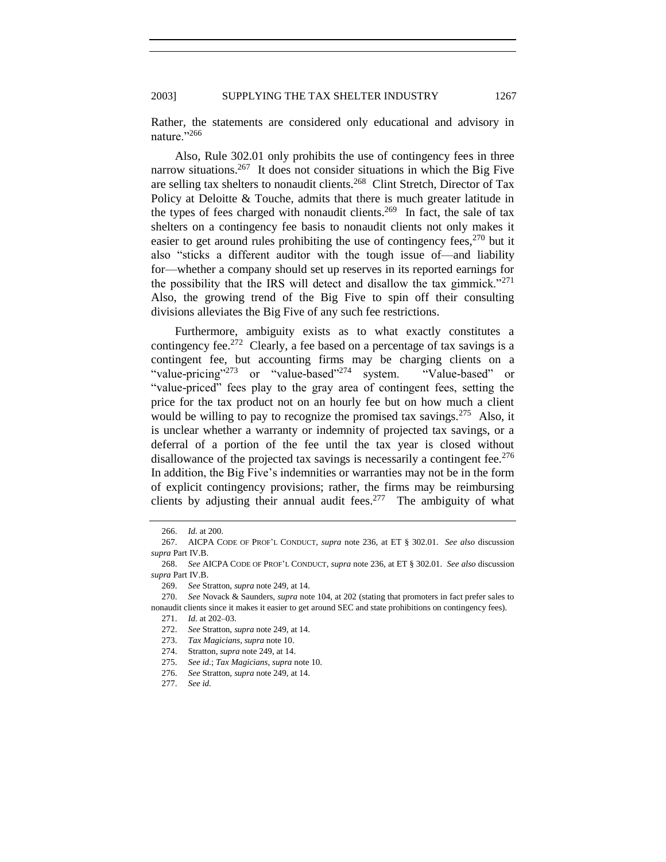## 2003] SUPPLYING THE TAX SHELTER INDUSTRY 1267

Rather, the statements are considered only educational and advisory in nature."266

Also, Rule 302.01 only prohibits the use of contingency fees in three narrow situations.<sup>267</sup> It does not consider situations in which the Big Five are selling tax shelters to nonaudit clients.<sup>268</sup> Clint Stretch, Director of Tax Policy at Deloitte & Touche, admits that there is much greater latitude in the types of fees charged with nonaudit clients.<sup>269</sup> In fact, the sale of tax shelters on a contingency fee basis to nonaudit clients not only makes it easier to get around rules prohibiting the use of contingency fees,  $270$  but it also "sticks a different auditor with the tough issue of—and liability for—whether a company should set up reserves in its reported earnings for the possibility that the IRS will detect and disallow the tax gimmick.<sup> $271$ </sup> Also, the growing trend of the Big Five to spin off their consulting divisions alleviates the Big Five of any such fee restrictions.

Furthermore, ambiguity exists as to what exactly constitutes a contingency fee.<sup>272</sup> Clearly, a fee based on a percentage of tax savings is a contingent fee, but accounting firms may be charging clients on a "value-pricing"<sup>273</sup> or "value-based"<sup>274</sup> system. "Value-based" or ―value-priced‖ fees play to the gray area of contingent fees, setting the price for the tax product not on an hourly fee but on how much a client would be willing to pay to recognize the promised tax savings.<sup>275</sup> Also, it is unclear whether a warranty or indemnity of projected tax savings, or a deferral of a portion of the fee until the tax year is closed without disallowance of the projected tax savings is necessarily a contingent fee.<sup>276</sup> In addition, the Big Five's indemnities or warranties may not be in the form of explicit contingency provisions; rather, the firms may be reimbursing clients by adjusting their annual audit fees.<sup>277</sup> The ambiguity of what

<sup>266.</sup> *Id.* at 200.

<sup>267.</sup> AICPA CODE OF PROF'L CONDUCT, *supra* note [236,](#page-26-1) at ET § 302.01. *See also* discussion *supra* Part IV.B.

<sup>268.</sup> *See* AICPA CODE OF PROF'L CONDUCT, *supra* not[e 236,](#page-26-1) at ET § 302.01. *See also* discussion *supra* Part IV.B.

<sup>269.</sup> *See* Stratton, *supra* note 249, at 14.

<sup>270.</sup> *See* Novack & Saunders, *supra* not[e 104,](#page-13-0) at 202 (stating that promoters in fact prefer sales to nonaudit clients since it makes it easier to get around SEC and state prohibitions on contingency fees).

<sup>271.</sup> *Id.* at 202–03.

<sup>272.</sup> *See* Stratton, *supra* not[e 249,](#page-27-0) at 14.

<sup>273.</sup> *Tax Magicians*, *supra* note [10.](#page-1-2)

<sup>274.</sup> Stratton, *supra* not[e 249,](#page-27-0) at 14.

<sup>275.</sup> *See id.*; *Tax Magicians*, *supra* not[e 10.](#page-1-2)

<sup>276.</sup> *See* Stratton, *supra* not[e 249,](#page-27-0) at 14.

<sup>277.</sup> *See id.*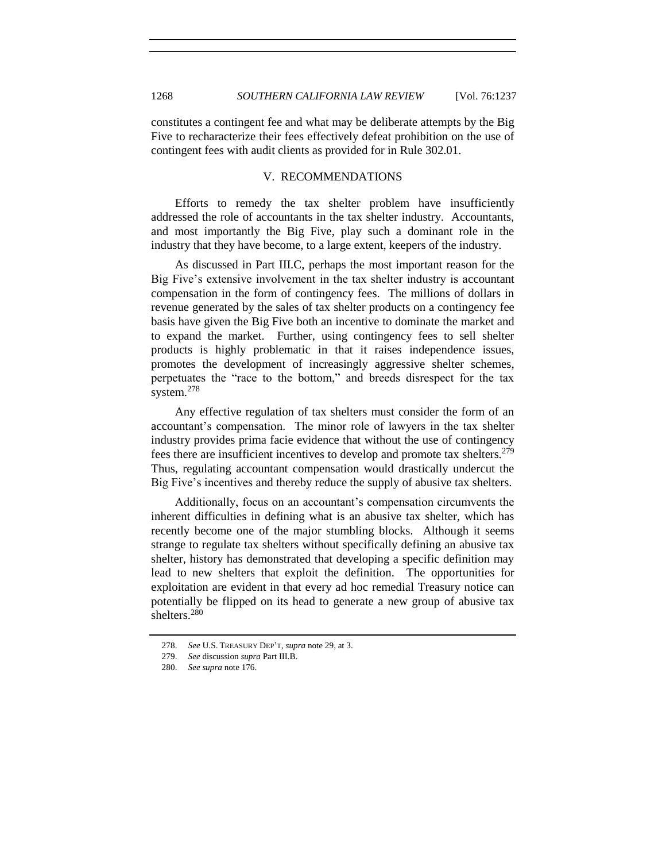constitutes a contingent fee and what may be deliberate attempts by the Big Five to recharacterize their fees effectively defeat prohibition on the use of contingent fees with audit clients as provided for in Rule 302.01.

### V. RECOMMENDATIONS

Efforts to remedy the tax shelter problem have insufficiently addressed the role of accountants in the tax shelter industry. Accountants, and most importantly the Big Five, play such a dominant role in the industry that they have become, to a large extent, keepers of the industry.

As discussed in Part III.C, perhaps the most important reason for the Big Five's extensive involvement in the tax shelter industry is accountant compensation in the form of contingency fees. The millions of dollars in revenue generated by the sales of tax shelter products on a contingency fee basis have given the Big Five both an incentive to dominate the market and to expand the market. Further, using contingency fees to sell shelter products is highly problematic in that it raises independence issues, promotes the development of increasingly aggressive shelter schemes, perpetuates the "race to the bottom," and breeds disrespect for the tax system.<sup>278</sup>

Any effective regulation of tax shelters must consider the form of an accountant's compensation. The minor role of lawyers in the tax shelter industry provides prima facie evidence that without the use of contingency fees there are insufficient incentives to develop and promote tax shelters.<sup>279</sup> Thus, regulating accountant compensation would drastically undercut the Big Five's incentives and thereby reduce the supply of abusive tax shelters.

Additionally, focus on an accountant's compensation circumvents the inherent difficulties in defining what is an abusive tax shelter, which has recently become one of the major stumbling blocks. Although it seems strange to regulate tax shelters without specifically defining an abusive tax shelter, history has demonstrated that developing a specific definition may lead to new shelters that exploit the definition. The opportunities for exploitation are evident in that every ad hoc remedial Treasury notice can potentially be flipped on its head to generate a new group of abusive tax shelters.<sup>280</sup>

<sup>278.</sup> *See* U.S. TREASURY DEP'T, *supra* note [29,](#page-5-0) at 3.

<sup>279.</sup> *See* discussion *supra* Part III.B.

<sup>280.</sup> *See supra* not[e 176.](#page-20-0)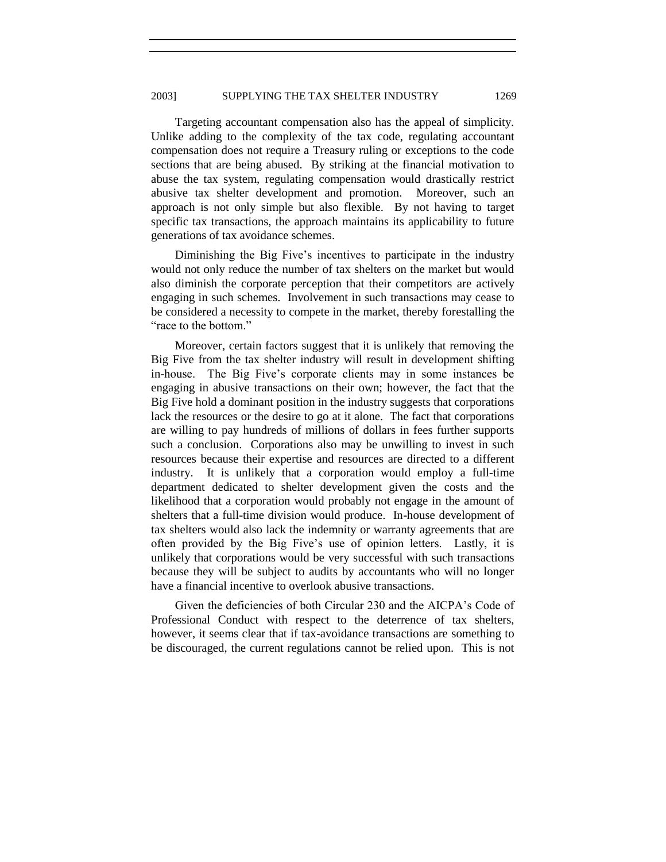Targeting accountant compensation also has the appeal of simplicity. Unlike adding to the complexity of the tax code, regulating accountant compensation does not require a Treasury ruling or exceptions to the code sections that are being abused. By striking at the financial motivation to abuse the tax system, regulating compensation would drastically restrict abusive tax shelter development and promotion. Moreover, such an approach is not only simple but also flexible. By not having to target specific tax transactions, the approach maintains its applicability to future generations of tax avoidance schemes.

Diminishing the Big Five's incentives to participate in the industry would not only reduce the number of tax shelters on the market but would also diminish the corporate perception that their competitors are actively engaging in such schemes. Involvement in such transactions may cease to be considered a necessity to compete in the market, thereby forestalling the "race to the bottom"

Moreover, certain factors suggest that it is unlikely that removing the Big Five from the tax shelter industry will result in development shifting in-house. The Big Five's corporate clients may in some instances be engaging in abusive transactions on their own; however, the fact that the Big Five hold a dominant position in the industry suggests that corporations lack the resources or the desire to go at it alone. The fact that corporations are willing to pay hundreds of millions of dollars in fees further supports such a conclusion. Corporations also may be unwilling to invest in such resources because their expertise and resources are directed to a different industry. It is unlikely that a corporation would employ a full-time department dedicated to shelter development given the costs and the likelihood that a corporation would probably not engage in the amount of shelters that a full-time division would produce. In-house development of tax shelters would also lack the indemnity or warranty agreements that are often provided by the Big Five's use of opinion letters. Lastly, it is unlikely that corporations would be very successful with such transactions because they will be subject to audits by accountants who will no longer have a financial incentive to overlook abusive transactions.

Given the deficiencies of both Circular 230 and the AICPA's Code of Professional Conduct with respect to the deterrence of tax shelters, however, it seems clear that if tax-avoidance transactions are something to be discouraged, the current regulations cannot be relied upon. This is not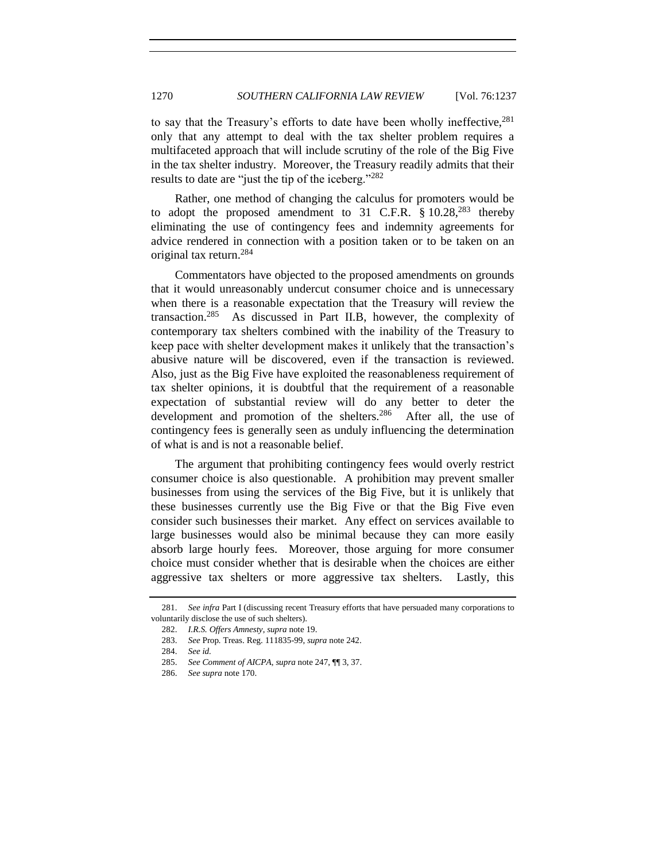to say that the Treasury's efforts to date have been wholly ineffective,  $281$ only that any attempt to deal with the tax shelter problem requires a multifaceted approach that will include scrutiny of the role of the Big Five in the tax shelter industry. Moreover, the Treasury readily admits that their results to date are "just the tip of the iceberg."<sup>282</sup>

Rather, one method of changing the calculus for promoters would be to adopt the proposed amendment to 31 C.F.R.  $§ 10.28^{283}$  thereby eliminating the use of contingency fees and indemnity agreements for advice rendered in connection with a position taken or to be taken on an original tax return.<sup>284</sup>

Commentators have objected to the proposed amendments on grounds that it would unreasonably undercut consumer choice and is unnecessary when there is a reasonable expectation that the Treasury will review the transaction.<sup>285</sup> As discussed in Part II.B, however, the complexity of contemporary tax shelters combined with the inability of the Treasury to keep pace with shelter development makes it unlikely that the transaction's abusive nature will be discovered, even if the transaction is reviewed. Also, just as the Big Five have exploited the reasonableness requirement of tax shelter opinions, it is doubtful that the requirement of a reasonable expectation of substantial review will do any better to deter the development and promotion of the shelters.<sup>286</sup> After all, the use of contingency fees is generally seen as unduly influencing the determination of what is and is not a reasonable belief.

The argument that prohibiting contingency fees would overly restrict consumer choice is also questionable. A prohibition may prevent smaller businesses from using the services of the Big Five, but it is unlikely that these businesses currently use the Big Five or that the Big Five even consider such businesses their market. Any effect on services available to large businesses would also be minimal because they can more easily absorb large hourly fees. Moreover, those arguing for more consumer choice must consider whether that is desirable when the choices are either aggressive tax shelters or more aggressive tax shelters. Lastly, this

<sup>281.</sup> *See infra* Part I (discussing recent Treasury efforts that have persuaded many corporations to voluntarily disclose the use of such shelters).

<sup>282.</sup> *I.R.S. Offers Amnesty*, *supra* not[e 19.](#page-2-0)

<sup>283.</sup> *See* Prop*.* Treas. Reg. 111835-99, *supra* not[e 242.](#page-26-0)

<sup>284.</sup> *See id.*

<sup>285.</sup> *See Comment of AICPA*, *supra* not[e 247,](#page-27-1) ¶¶ 3, 37.

<sup>286.</sup> *See supra* not[e 170.](#page-18-0)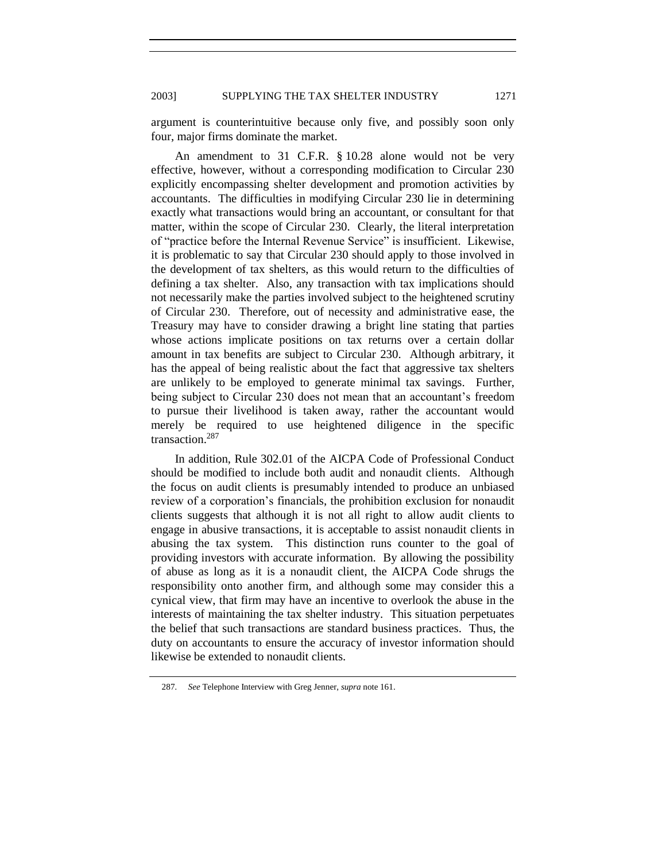argument is counterintuitive because only five, and possibly soon only four, major firms dominate the market.

An amendment to 31 C.F.R. § 10.28 alone would not be very effective, however, without a corresponding modification to Circular 230 explicitly encompassing shelter development and promotion activities by accountants. The difficulties in modifying Circular 230 lie in determining exactly what transactions would bring an accountant, or consultant for that matter, within the scope of Circular 230. Clearly, the literal interpretation of "practice before the Internal Revenue Service" is insufficient. Likewise, it is problematic to say that Circular 230 should apply to those involved in the development of tax shelters, as this would return to the difficulties of defining a tax shelter. Also, any transaction with tax implications should not necessarily make the parties involved subject to the heightened scrutiny of Circular 230. Therefore, out of necessity and administrative ease, the Treasury may have to consider drawing a bright line stating that parties whose actions implicate positions on tax returns over a certain dollar amount in tax benefits are subject to Circular 230. Although arbitrary, it has the appeal of being realistic about the fact that aggressive tax shelters are unlikely to be employed to generate minimal tax savings. Further, being subject to Circular 230 does not mean that an accountant's freedom to pursue their livelihood is taken away, rather the accountant would merely be required to use heightened diligence in the specific transaction.<sup>287</sup>

In addition, Rule 302.01 of the AICPA Code of Professional Conduct should be modified to include both audit and nonaudit clients. Although the focus on audit clients is presumably intended to produce an unbiased review of a corporation's financials, the prohibition exclusion for nonaudit clients suggests that although it is not all right to allow audit clients to engage in abusive transactions, it is acceptable to assist nonaudit clients in abusing the tax system. This distinction runs counter to the goal of providing investors with accurate information. By allowing the possibility of abuse as long as it is a nonaudit client, the AICPA Code shrugs the responsibility onto another firm, and although some may consider this a cynical view, that firm may have an incentive to overlook the abuse in the interests of maintaining the tax shelter industry. This situation perpetuates the belief that such transactions are standard business practices. Thus, the duty on accountants to ensure the accuracy of investor information should likewise be extended to nonaudit clients.

<sup>287</sup>*. See* Telephone Interview with Greg Jenner, *supra* not[e 161.](#page-17-1)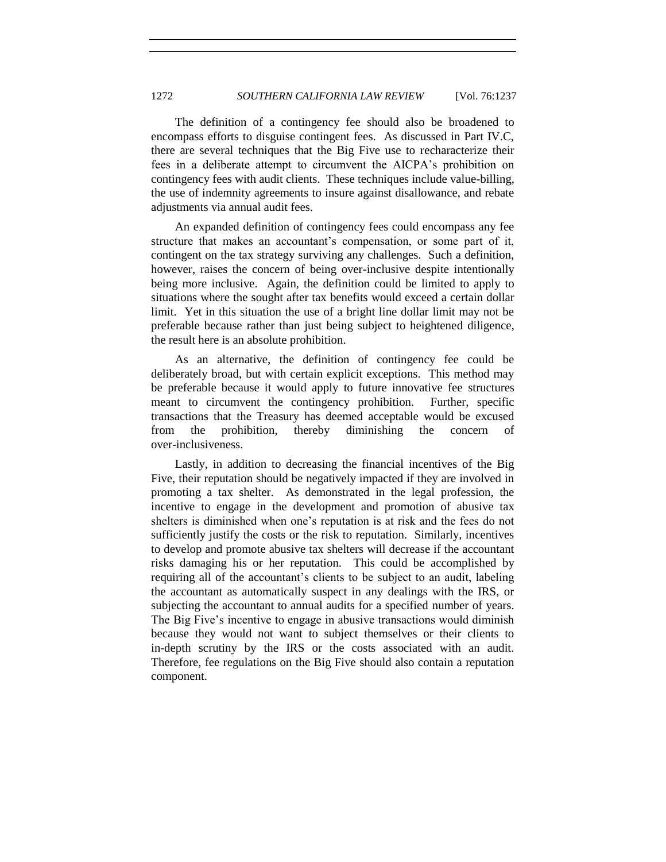The definition of a contingency fee should also be broadened to encompass efforts to disguise contingent fees. As discussed in Part IV.C, there are several techniques that the Big Five use to recharacterize their fees in a deliberate attempt to circumvent the AICPA's prohibition on contingency fees with audit clients. These techniques include value-billing, the use of indemnity agreements to insure against disallowance, and rebate adjustments via annual audit fees.

An expanded definition of contingency fees could encompass any fee structure that makes an accountant's compensation, or some part of it, contingent on the tax strategy surviving any challenges. Such a definition, however, raises the concern of being over-inclusive despite intentionally being more inclusive. Again, the definition could be limited to apply to situations where the sought after tax benefits would exceed a certain dollar limit. Yet in this situation the use of a bright line dollar limit may not be preferable because rather than just being subject to heightened diligence, the result here is an absolute prohibition.

As an alternative, the definition of contingency fee could be deliberately broad, but with certain explicit exceptions. This method may be preferable because it would apply to future innovative fee structures meant to circumvent the contingency prohibition. Further, specific transactions that the Treasury has deemed acceptable would be excused from the prohibition, thereby diminishing the concern of over-inclusiveness.

Lastly, in addition to decreasing the financial incentives of the Big Five, their reputation should be negatively impacted if they are involved in promoting a tax shelter. As demonstrated in the legal profession, the incentive to engage in the development and promotion of abusive tax shelters is diminished when one's reputation is at risk and the fees do not sufficiently justify the costs or the risk to reputation. Similarly, incentives to develop and promote abusive tax shelters will decrease if the accountant risks damaging his or her reputation. This could be accomplished by requiring all of the accountant's clients to be subject to an audit, labeling the accountant as automatically suspect in any dealings with the IRS, or subjecting the accountant to annual audits for a specified number of years. The Big Five's incentive to engage in abusive transactions would diminish because they would not want to subject themselves or their clients to in-depth scrutiny by the IRS or the costs associated with an audit. Therefore, fee regulations on the Big Five should also contain a reputation component.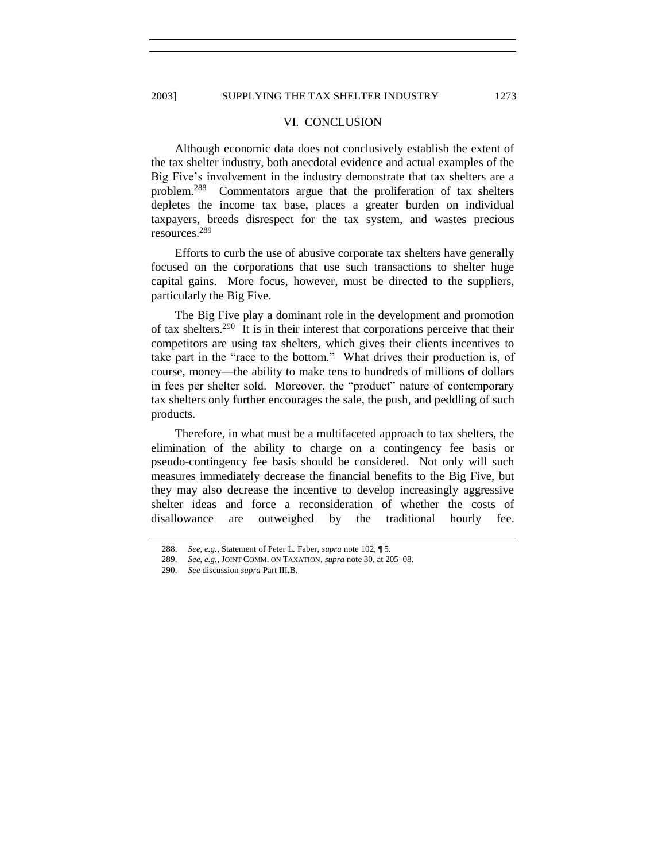#### VI. CONCLUSION

Although economic data does not conclusively establish the extent of the tax shelter industry, both anecdotal evidence and actual examples of the Big Five's involvement in the industry demonstrate that tax shelters are a problem.<sup>288</sup> Commentators argue that the proliferation of tax shelters depletes the income tax base, places a greater burden on individual taxpayers, breeds disrespect for the tax system, and wastes precious resources.<sup>289</sup>

Efforts to curb the use of abusive corporate tax shelters have generally focused on the corporations that use such transactions to shelter huge capital gains. More focus, however, must be directed to the suppliers, particularly the Big Five.

The Big Five play a dominant role in the development and promotion of tax shelters.<sup>290</sup> It is in their interest that corporations perceive that their competitors are using tax shelters, which gives their clients incentives to take part in the "race to the bottom." What drives their production is, of course, money—the ability to make tens to hundreds of millions of dollars in fees per shelter sold. Moreover, the "product" nature of contemporary tax shelters only further encourages the sale, the push, and peddling of such products.

Therefore, in what must be a multifaceted approach to tax shelters, the elimination of the ability to charge on a contingency fee basis or pseudo-contingency fee basis should be considered. Not only will such measures immediately decrease the financial benefits to the Big Five, but they may also decrease the incentive to develop increasingly aggressive shelter ideas and force a reconsideration of whether the costs of disallowance are outweighed by the traditional hourly fee.

<sup>288.</sup> *See, e.g.*, Statement of Peter L. Faber, *supra* note [102,](#page-12-0) ¶ 5.

<sup>289.</sup> *See, e.g.*, JOINT COMM. ON TAXATION, *supra* not[e 30,](#page-5-1) at 205–08.

<sup>290.</sup> *See* discussion *supra* Part III.B.